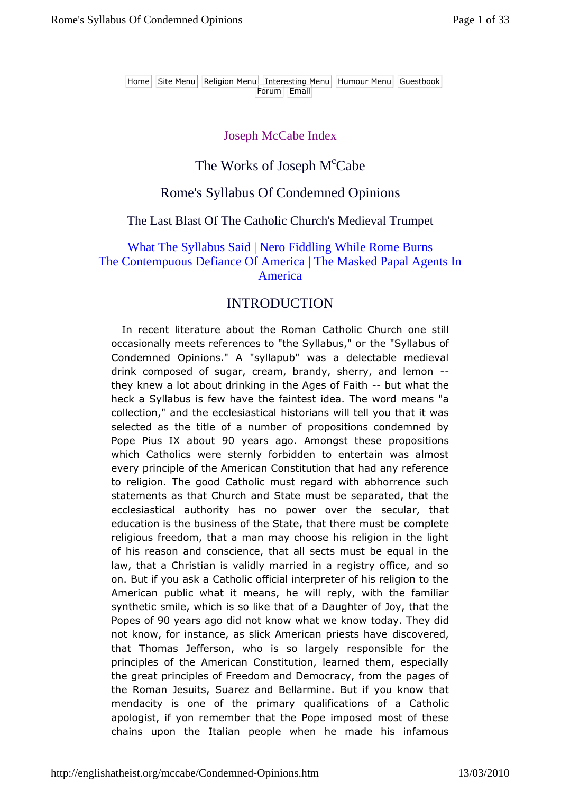Home Site Menu Religion Menu Interesting Menu Humour Menu Guestbook **Forum** Email

### Joseph McCabe Index

## The Works of Joseph M<sup>c</sup>Cabe

### Rome's Syllabus Of Condemned Opinions

### The Last Blast Of The Catholic Church's Medieval Trumpet

### What The Syllabus Said | Nero Fiddling While Rome Burns The Contempuous Defiance Of America | The Masked Papal Agents In America

### **INTRODUCTION**

In recent literature about the Roman Catholic Church one still occasionally meets references to "the Syllabus," or the "Syllabus of Condemned Opinions." A "syllapub" was a delectable medieval drink composed of sugar, cream, brandy, sherry, and lemon - they knew a lot about drinking in the Ages of Faith -- but what the heck a Syllabus is few have the faintest idea. The word means "a collection," and the ecclesiastical historians will tell you that it was selected as the title of a number of propositions condemned by Pope Pius IX about 90 years ago. Amongst these propositions which Catholics were sternly forbidden to entertain was almost every principle of the American Constitution that had any reference to religion. The good Catholic must regard with abhorrence such statements as that Church and State must be separated, that the ecclesiastical authority has no power over the secular, that education is the business of the State, that there must be complete religious freedom, that a man may choose his religion in the light of his reason and conscience, that all sects must be equal in the law, that a Christian is validly married in a registry office, and so on. But if you ask a Catholic official interpreter of his religion to the American public what it means, he will reply, with the familiar synthetic smile, which is so like that of a Daughter of Joy, that the Popes of 90 years ago did not know what we know today. They did not know, for instance, as slick American priests have discovered, that Thomas Jefferson, who is so largely responsible for the principles of the American Constitution, learned them, especially the great principles of Freedom and Democracy, from the pages of the Roman Jesuits, Suarez and Bellarmine. But if you know that mendacity is one of the primary qualifications of a Catholic apologist, if yon remember that the Pope imposed most of these chains upon the Italian people when he made his infamous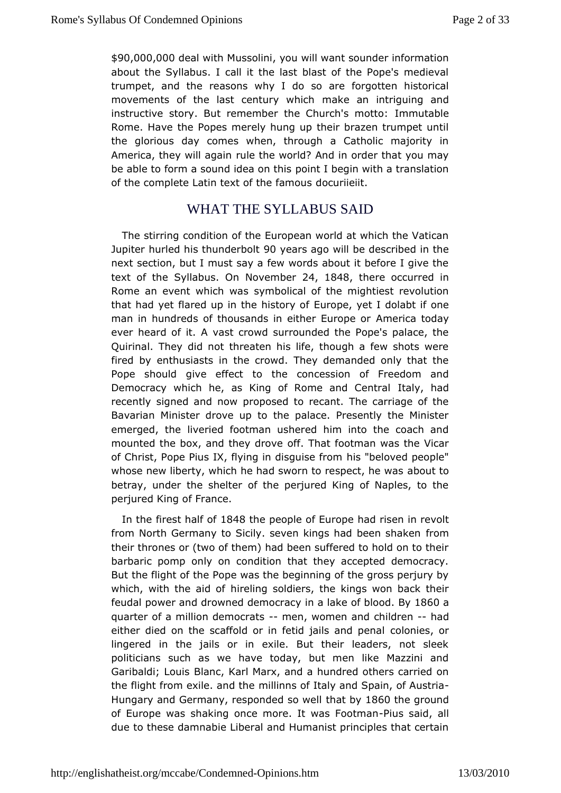\$90,000,0**00** al with Mussycolunwill want sounder information about the eyllabus. I call it the last blast of the Pope's medie trumpet, and the asons why I do so are forgotten historical movements of the last centurn wak we hiach intriguing and instructive story. But remember the Chlum onhuit saim letto: Rome. Have the Popes merely hung up their brazen trumpet the glorious day comes when, through a Catholic majority America, they will rualceathe world? And in order that you may be able to form a sound idpecainoth Itbiesgin with a translation of the complete Latin text of dibeuframeouts

## WHAT THE SYLLABUS SAID

The stirring condition of the European world at which the  $V_i$ Jupiter hurled his thu $\mathbf{\Omega} \otimes \mathbf{E}$  and  $\mathbf{Q}$  will be described in the nextsection, but I must say a few words about it before I give the text of the Ilabus n Novemb 24, 1848 there occurred in Rome an event whic ty which alical of the mightiest revolution that had yet flared up in the Elouirsotpoery youf I do labt if one man in hundreds of thousands in eithAemeEricraoptoodcary ever heard of it. A vast crowd surrounded the Pope's palace Quirinal. They did not threaten his life, though a few shots fired beynthusiasts in the crowd. They demanded only that the Pope should give effect toncession of Freedom and Democracy which he, as King of Romeltaaning, Cheandtral recently signed and now proposed to recant. The carriage o Bavarian Minister drove up to the palace. Presently the Min emerged, the eried footman ushered him into the coach and mounted the box, and theovffdrbw at footman was the Vicar of Christ, Pope Pius IX, flying in holiss dibele vferom meople" whose new liberty, which he had sworn to about to, he was betray, under the shelter of the perjured King of Naples, to perjured King of France.

In the firest hal 8f4 8the people of Elward preisen in revolt from North Germany to Sicily. seven kings had mbeen shaken their thrones or (two of them) had been suffered to hold on to barbaric pomp only on condition that they accepted democr But the flight heofPope was the beginning of the gross perjury b which, with the ahiid edifing soldiers, the kings won back their feudal power and drowned dienmacda sey of b Boyd & 60a quarter of a million de-monemats women and dreahad either died on the scaffold or in fetid galbsniærsd penal lingered in the jails or in exile. But their leaders, not sl politicians such as we have today, but men like Mazzini Garibaldi; LB Lasc, Karl Marx, and a hundred others carried on the flight from exile. main binthe of Italy and Spain, of Austria Hungary and Germany, respondted atsby & @0the ground of Europe was shaking once more. It-Piwass a Fiodotman lan due to these damnabie Liberal and Humanist principles that c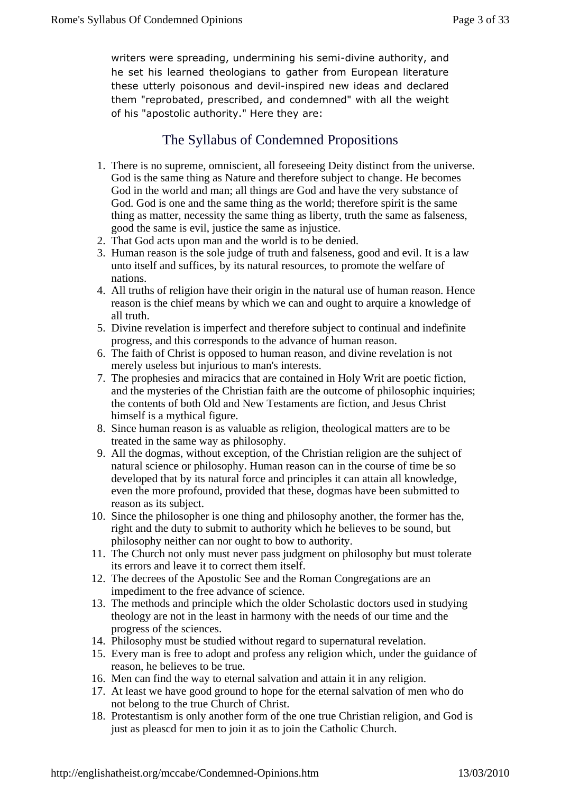writers were spreading, undermin**dngimesasue mo**rity, and he set his arned theologians to gather from European literature these utterly poiszom obudse winds pired new ideas and declared them "reprobated, prescrido and deamnded" with all the weight of his "apostolic authority." a Heare they

# The Syllabus of Condemned Propositions

- 1. There is nosupreme, omniscient, all foreseeing Deity distinct from the universe. God isthe same thing as Nature and therefore subject to change. He becomes God inthe world and man; all things are God and have the very substance of God. Gods one and the same thing as the world; therefore spirit is the same thing asmatter, necessity the same thing as liberty, truth the same as falseness, goodthe same is evil, justice the same as injustice.
- 2. That God acts uporman and the world is to be denied.
- 3. Human reason is the sole judget moth and falseness, good and evil. It is a law unto itself and suffices, bits natural resources, to promote the welfare of nations.
- All truths of religion have their origin in the natural use of human reason. Hence 4. reasonis the chief means by which we can and ought to arquire a knowledge of all truth.
- 5. Divine revelation is imperfect and therefore subject to tinual and indefinite progress, and this corresponds to the advance of human reason.
- 6. The faith of Christ is opposed to human reason, davide revelation is not merely useless but injurious to mainterests.
- 7. The prophesies and miracics that are contained in Holy and infection, and the mysteries of the Christian faith are the outcomplesion binquiries; the contents of both Old and New Testament stigtion, and Jesus Christ himself is a mythical figure.
- 8. Since humaneason is as valuable as religion, theological matters are to be treated inthe same way as philosophy.
- 9. All the dogmas, without exception, of tberistian religion are the suhject of natural science or philosophy. Human ason can in the course of time be so developed that by its natural force and principles it can attain all knowledge, even the more profound, provided that see, dogmas have been submitted to reason as its subject.
- 10. Since the philosopher is one thing and philosophy another, the former has the, right andthe duty to submit to authority which he believes to be sound, but philosophyneither can nor ought to bow to authority.
- 11. The Church not only mustever pass judgment on philosophy but must tolerate its errors and leave it **to**rrect them itself.
- 12. The decrees of the Apostolic See and the Roctomgregations are an impediment to the free advance of science.
- 13. Themethods and principle which the older Scholastic doctors used in studying theology are not in the least in harmony with the needs of our time and the progress of the sciences.
- 14. Philosophy must be studied without regard to pernatural revelation.
- 15. Every man is free to adopt and profess anigion which, under the guidance of reason, he believes to bee.
- 16. Men can find the way to eternal salvation and attain it in religion.
- 17. At least we have good ground to hope for the eternal sation of men who do not belong to the true Church Ohrist.
- 18. Protestantism is only another form of the one true Christiliagion, and God is just as pleascd for men to join it as to join **Catholic Church.**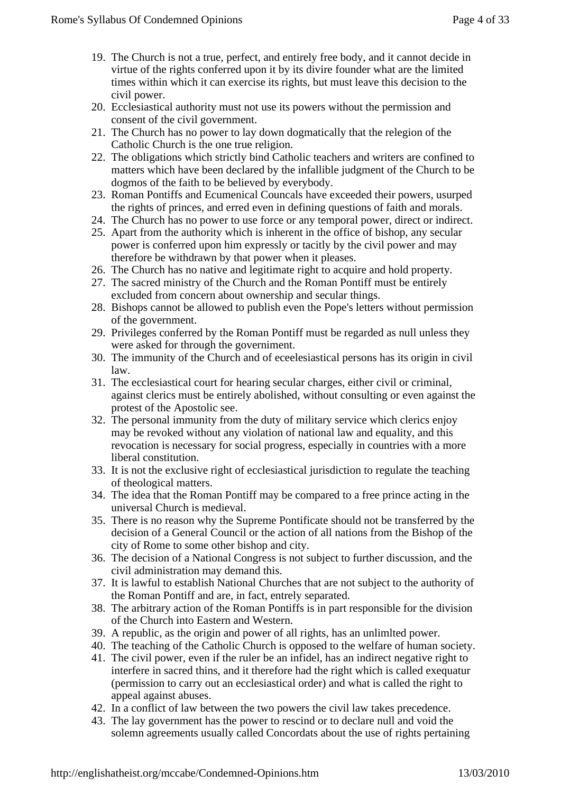- 19. The Church is not a true, perfect, and entirely breely, and it cannot decide in virtue of the rights conferred upon it by distire founder what are the limited times within which it can exercise its that sout must leave this decision to the civil power.
- 20. Ecclesiastical authority must not use its powers withoupthenission and consent of the civil government.
- 21. The Church has no ower to lay down dogmatically that the relegion of the Catholic Church is thene true religion.
- 22. The obligations which strictly bind Catholicachers and writers are confined to matters which have been declared by the lible judgment of the Church to be dogmos of the faith to be believed by erybody.
- 23. Roman Pontiffs and Ecumenical Councals have exceede ptheirs, usurped the rights of princes, and erred even in defining questiof at brand morals.
- 24. The Church has no power to use force or any temporest. direct or indirect.
- 25. Apart from the authority which is inherentthe office of bishop, any secular power is conferred upon him expressit a stilly by the civil power and may therefore be withdrawn by that power when leases.
- 26. The Church has no native and legitimate right to acquire hold property.
- 27. The sacred ministry of the Church and the Romantiff must be entirely excluded from concern about ownership and seduilags.
- 28. Bishops cannot be allowed to publish even the Pope's lettersut permission of the government.
- 29. Privileges conferred by theoman Pontiff must be regarded as null unless they were asked for through the verniment.
- 30. The immunity of the Church and of eceelesiastical per**sass**ts origin in civil law.
- 31. The ecclesiastical court for hearisecular charges, either civil or criminal, against clerics must be entirely polished, without consulting or even against the protest of the Apostolisee.
- 32. The personal immunity from the duty of military service whiterics enjoy may be revoked without any violation of national law **and all it way** be revoked without any violation of national revocation is necessary for social progress, especial buntries with a more liberal constitution.
- 33. It is not the exclusiveght of ecclesiastical jurisdiction to regulate the teaching of theologicalmatters.
- 34. The idea that the Roman Pontiff may be compared to prime acting in the universal Church is medieval.
- 35. There is no reason hy the Supreme Pontificate should not be transferred by the decision of aGeneral Council or the action of all nations from the Bishop of the city of Rome to some other bishop and city.
- 36. The decision of a Nation aongress is not subject to further discussion, and the civil administrationmay demand this.
- 37. It is lawful to establish National Churches that **ane** subject to the authority of the Roman Pontiff and are, in fact, entreeparated.
- 38. The arbitrary action of the Roman Pontiffs is in pasponsible for the division of the Church into Eastern and Western.
- 39. A republic, as the origin and power of all rights, has an unlimpted power.
- 40. The teaching of the Catholic Church is opposed to the welfare man society.
- 41. The civil power, even if the ruler be an infideas an indirect negative right to interfere in sacred thins, and it therefored the right which is called exequatur (permission to carry out acclesiastical order) and what is called the right to appeal against buses.
- 42. In a conflict of law between the two powers the civil lawes precedence.
- 43. The lay government has the power to rescind det dare null and void the solemn agreements usually called Concordats aboutse of rights pertaining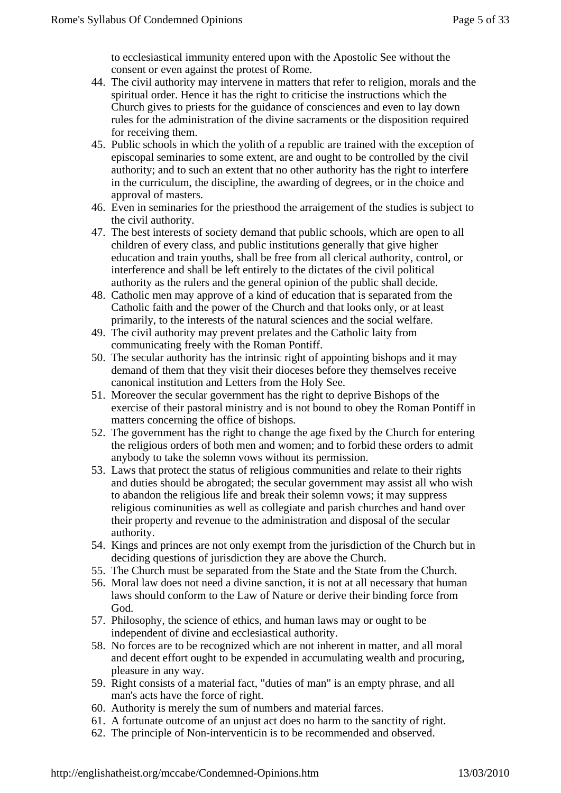to ecclesiastical immunity entered upon with Apostolic See without the consent or even against the protes Rome.

- 44. The civil authority may intervene in matters that referelogion, morals and the spiritual order. Hence it has the right to criticibe instructions which the Church gives to priests for the guidance on sciences and even to lay down rules for the administration of the divise craments or the disposition required for receiving them.
- 45. Publicschools in which the yolith of a republic are trained with the exception of episcopal seminaries to some extent, are and ought to be controlled by the authority; and to such an extent that no other authority has the righterfere in the curriculum, the discipline, the awarding of degrees, the inchoice and approval of masters.
- 46. Even in seminaries for theriesthood the arraigement of the studies is subject to the civil authority.
- 47. The best interests of society demand that public schoblsh are open to all children of every class, and public institution erally that give higher education and train youths, shall be free from **all clerical** authority, control, or interference and shall be left entirely to **the allace of** the civil political authority as the rulers and the generathion of the public shall decide.
- 48. Catholic men may approve of a kindeducation that is separated from the Catholic faith and the power of the Lurch and that looks only, or at least primarily, to the interests of the atural sciences and the social welfare.
- The civil authority mayprevent prelates and the Catholic laity from 49. communicating freely with the Roman Pontiff.
- 50. The secular authority has the intrinsic rightappointing bishops and it may demand of them that they visit their diocebefore they themselves receive canonical institution and Letters from the H**See**.
- 51. Moreover the secular government has the right to deprive Bistholos exercise of their pastoral ministry and is not bound to obey the Romantif in matters concerning the office of bishops.
- 52. The governmentas the right to change the age fixed by the Church for entering the religiousorders of both men and women; and to forbid these orders to admit anybody totake the solemn vows without its permission.
- 53. Laws that protect thstatus of religious communities and relate to their rights and duties shoulde abrogated; the secular government may assist all who wish to abandon the eligious life and break their solemn vows; it may suppress religiouscominunities as well as collegiate and parish churches and hand over theirproperty and revenue to the administration and disposal of the secular authority.
- 54. Kings and princes are not only exempt from the jurisdiction Church but in deciding questions of jurisdiction they are above Charch.
- 55. The Church must be separated from the State and the Statther option.
- 56. Moral law does not need a divine sanction, it is natllatecessary that human laws should conform to the Law of Nature or detive ir binding force from God.
- 57. Philosophy, the science of ethics, and than laws may or ought to be independent of divine and ecclesiastical hority.
- 58. No forces are to be recognized which are not inherentatter, and all moral and decent effort ought to be expended in accumulate at the procuring, pleasure in any way.
- 59. Right consists of anaterial fact, "duties of man" is an empty phrase, and all man's acts have thence of right.
- 60. Authority is merely the sum of numbers and materiales.
- 61. A fortunate outcome of an unjust act does no harm to the stight.
- 62. The principle of Norinterventicin is to beecommended and observed.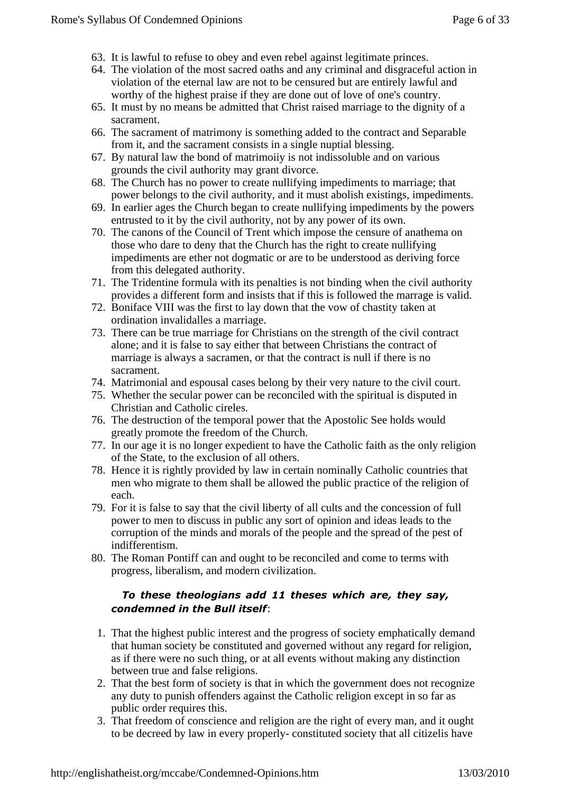- 63. It is lawful to refuse to obey and ever belagainst legitimate princes.
- 64. The violation of the most sacredths and any criminal and disgraceful action in violation of the eternal laware not to be censured but are entirely lawful and worthy of the highest raise if they are done out of love of one's country.
- 65. It must by nomeans be admitted that Christ raised marriage to the dignity of a sacrament.
- 66. The sacrament of matrimony is something added todhtract and Separable from it, and the sacrament consists in a single nublessing.
- 67. By natural law the bond of matrimoiiy is not indissolubled on various grounds the civil authority may grant divorce.
- TheChurch has no power to create nullifying impediments to marriage; that 68. powerbelongs to the civil authority, and it must abolish existimusediments.
- 69. In earlier ages the Church began to create nullifyimpediments by the powers entrusted to it by the civil authority, not by anywer of its own.
- 70. The canons of the Council of Trent which imposederesure of anathema on those who dare to deny that the Church has the right eta nullifying impediments are ether not dogmatic or are to be underaboderiving force from this delegated authority.
- 71. The Tridentineformula with its penalties is not binding when the civil authority provides adifferent form and insists that if this is followed the marrage is.
- 72. Boniface VIII was the first to lay down that the vow ortastity taken at ordination invalidalles a marriage.
- 73. There can beue marriage for Christians on the strength of the civil contract alone; and t is false to say either that between Christians the contract of marriage is always a sacramen, or that the contract is null if there is no sacrament.
- 74. Matrimonial and espousal cases belong by their very natule civil court.
- 75. Whether the secular power can be reconciled the spiritual is disputed in Christian and Catholic cireles.
- Thedestruction of the temporal power that the Apostolic See holds would 76. greatlypromote the freedom of the Church.
- 77. In our age it is no longexpedient to have the Catholic faith as the only religion of the State, to thexclusion of all others.
- 78. Hence it is rightly provided by law icertain nominally Catholic countries that men who migrate to them shall **be** bowed the public practice of the religion of each.
- 79. For it is falseto say that the civil liberty of all cults and the concession of full power tomen to discuss in public any sort of opinion and ideas leads to the corruptionof the minds and morals of the people and the spread of the pest of indifferentism.
- 80. The Roman Pontiff can and ought to be reconciled comet to terms with progress, liberalism, and modernilization.

```
To these theologians 14 dtd eses which , at theey say,
condemned in the Bull: itself
```
- 1. That the highespublic interest and the progress of society emphatically demand that humansociety be constituted and governed without any regard for religion, as ifthere were no such thing, or at all events without making any distinction between true and false religions.
- 2. That the best form of society tisat in which the government does not recognize any duty to punish offenders ainst the Catholic religion except in so far as public order requirethis.
- 3. That freedom of conscience and religion are the right of every, and it ought to be decreed by law in every proper ponstituted societ that all citizelis have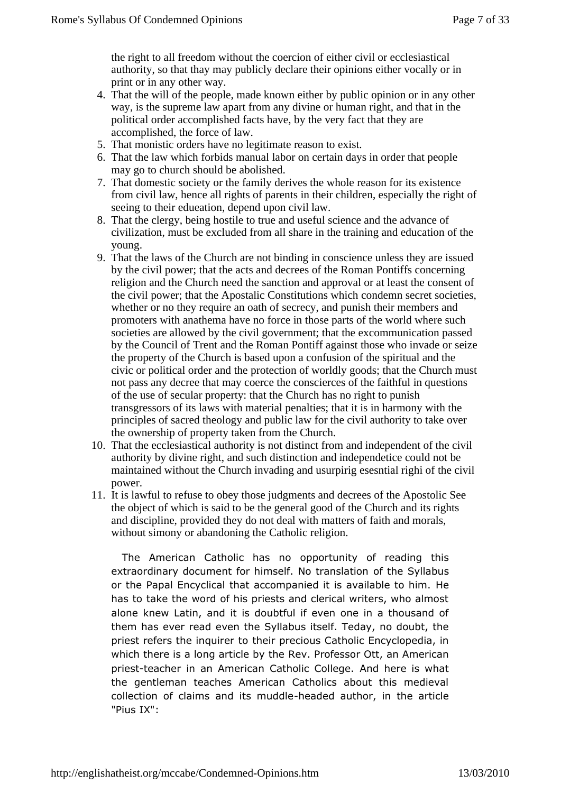the right to all freedom without the coercioneither civil or ecclesiastical authority, so that thay may publicly declaine ir opinions either vocally or in print or in any other way.

- Thatthe will of the people, made known either by public opinion or in any other 4. way, is the supreme law apart from any divine or human right, and that in the political order accomplished facts have, by the very fact that they are accomplished, the force of law.
- 5. That monistic orders have reatitimate reason to exist.
- 6. That the law which forbids manual labor certain days in order that people may go to church should be adjoished.
- 7. That domestic society or the family derives the wholes on for its existence from civil law, hence all rights of parents in the mildren, especially the right of seeing to their edueation, depend upon tawil.
- 8. That the clergy, being hostile to true and useful science anad thance of civilization, must be excluded from all share in the training and eation of the young.
- 9. That the laws of the Church are not bindingomscience unless they are issued by the civil power; that the acts addcrees of the Roman Pontiffs concerning religion and the Church need the anction and approval or at least the consent of the civil power; that the Apostalic Constitutions which condemn secret societies, whether or no the require an oath of secrecy, and punish their members and promoters withanathema have no force in those parts of the world where such societies arallowed by the civil government; that the excommunication passed by theCouncil of Trent and the Roman Pontiff against those who invade or seize theproperty of the Church is based upon a confusion of the spiritual and the civic or political order and the protection of worldly goods; that the Chuncust not pass any decree that may coerce the conscierces of the faithful instances of the use of secular property: that the Church has no richtrish transgressors of its laws with material penalties; that it harmony with the principles of sacred theology and public law for the **authority** to take over the ownership of property taken from **Church**.
- 10. That the ecclesiastical authority is not distinct from **inde** pendent of the civil authority by divine right, and such distinction and ependetice could not be maintained without the Church invading and urpirig esesntial right of the civil power.
- 11. It is lawful to refuseo obey those judgments and decrees of the Apostolic See the object of whichis said to be the general good of the Church and its rights and discipline provided they do not deal with matters of faith and morals, without simony orabandoning the Catholic religion.

The American Catholic **basomanity** of reading this extraordinary document for himself. Not thran**s valado**ns or the Papal Encyclical that accompanied it is leavailable to h has to take the word of his priests and clerical writers, who alononew Latin, and it is doubtful if even one in a thousand them has ever eved the Syllabus itself. Teday, no doubt, the priest refers the inqtuhicer proecious Catholic Encyclopedia, in which there is a long artike been by  $\mathbf F$  rtoh fee ssor Ott, an American priestteacher in an American CatholAcadCbelreeques what the gentleman teaches American Catholics about this medi collection of claims and inseended deathor, in the article  $"PiukX"$ :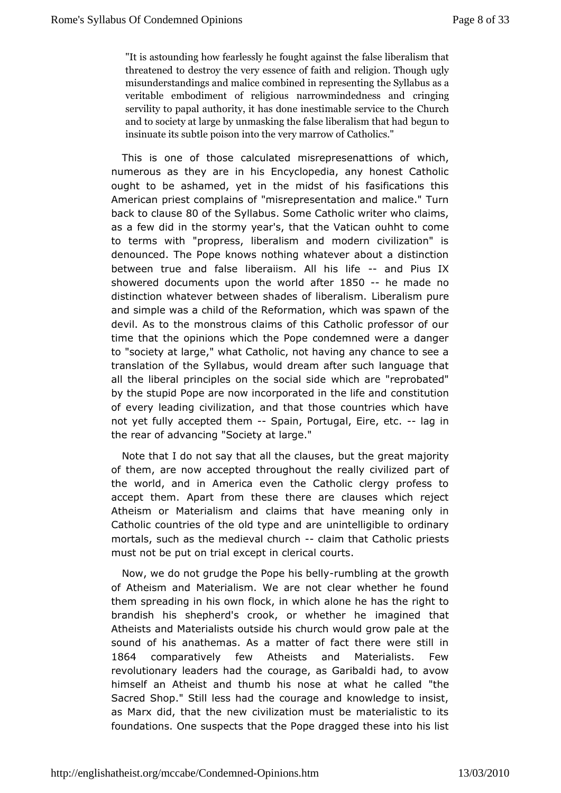"It is astounding how fearlessly healfscoughth teaquasion tthing the  $\mathbf{r}$ threatened to destroy the very erseslegnicoen.of Thios into haungally misunderstandings and malice combined Siynllad purse saesnating veritable embodiment of religious narroorwinging dedness and servility to papal authority, it has done ichation hable service and to society at large by unmasking the beged use to be ralism the insinuate its subtle poison into Chaeh very marrow of

This is one of those calculated misreproesenattions of numerous as they are in his Encyclopedia, any honest Cat ought to behamed, yet in the midst of his fasifications thi American priest complaniins seopfresentation and malice." Turn back to cla8 $0$ sef the Sylla Sours  $C$  atholic writer who claims, as a few did in the stormy year's, thau the to a ciocra e to terms with "propress, liberalism and modern civilization denounced. The Pope knows nothing whatever about a distin between true faandse liberaiism. All -hiandifeius IX showered documents upon the ewolds of d--he made no distinction whatever between shades Lobbelibelism lisp mure and simple was a child of the Reformation, which was spawn  $\epsilon$ devil. As to the monstrous claims of this Catholic professor timethat the opinions which the Pope condemned were a dang to "society at law to eatholic, not having any chance to see a translation of the Syllabus earmound fotter such language that all the liberal principles on the which alreside eprobated" by the stupid Pope are now incorporated consthite utlibe and of every leading civilization, and that those countries which not yet fully accepted Spam, Portugal, Eirelagton the rearad fvancing "Society at large."

Note that I do not say that all blue the unsreessat majority of them, are now accepted throughout the praerall loyf civilized the world, and in America even the Catholic clergy profes accepthem. Apart from these there are clauses which reje Atheism or Materialism hairms that have meaning only in Catholic countries of the old typenteenIdigaidede to ordinary mortals, such as the medievaclahmarch atholic priests must not be put on trial except in clerical courts.

Now, we do not grudge the Poper unime biling ly at the growth of Atheism a *Mac*terialism. We are not clear whether he found them spreading in his own which, alone he has the right to brandish his shepherd's crook, or iwanhaeqtihneerd htehat Atheists and Materialists outside his church wbeld grow pale sound of his anathemas. As a matter of fact there were still 1864 comparatively few Atheists and Materialists. Few revolutionary leaders had rage, as Garibaldi had, to avow himself an Atheist and thumb his n**ose catlex chatched** Sacred Shop." Still less had the courage and knowledge to i as Marx did, that the new civilization must be materialistic foundatio@s.e suspects that the Pope dragged these into his I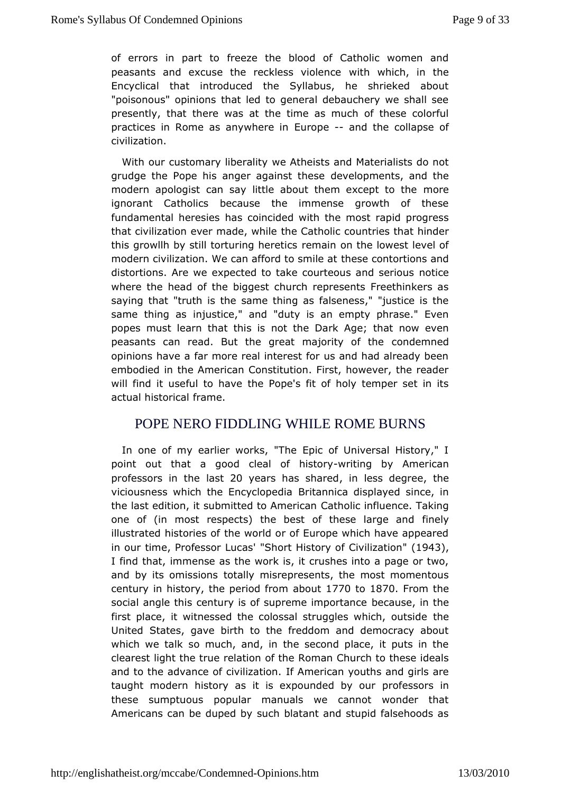of errors in partretoze the blood of Catholic women and peasants and excuse the reckleswith in which in the Encyclical that introduced the Syllabus, he shrieked at "poisonous" opinions that led to general debauchery we shall presently, tthe the sat the time as much of these colorful practices in Rome as any Euchneorpee-iand the collapse of civilization.

With our customary liwer altilt wists and Materialists do not grudge the Pope his anger agadienseldpenseents, and the modern apologist can say little about themmexcept to the ignorant Catholics because the immense growth of the fundamental herbase coincided with the most rapid progress that civilization ever matchee, Wahtiholic countries that hinder this growllh by still torturing mhad ne bine sthe lowest level of modern civilization. We can affortdhet ses contidentions and distortions. Are we expected to take courtencousicand serious where the head of the biggest church represents Freethinke sayinghat "truth is the same thing as falseness," "justice is same thing iasustice," and "duty is an empty phrase." Even popes must learn that nthis this Dark Age; that now even peasants can read. But the great majocornityle monfiedhe opinions have a far more real interest for us and had already been embodied in the American Constitution. First, however, the r will findusteful to have the Pope's fit of holy temper set in actual histofriamle.

## POPE NERO FIDDLING WHILE ROMENTING

In one of my earlier works, "The Epic of Universal Histor point out that a good cleal -writhn stoby American professors inlabt20 years has shanedess degitae viciousness which the EncBy ciltoaphendican displayed since, in the last edition, it submitted to a Amode ird cian fluence. Taking one of (in most respects) the best of théisme lyarge and illustrated histories of the world or of Europe which have app inour time rofessor L'u'Sansort History of Civ'il (129a4t),on I find tham, mense as the work is, it crushes into a page or two, and by its omisto bally misrepresents, the most momentous century in history, the peatocodut 707n0to1870 From the social angle this century is of supreme camportam due first place, it witnessed the colossal struggltehse which, outsi United States, gave birth to the freddom and democracy at which we tabk much, and, in the second place, it puts in the clearest light thee tation of the Roman Church to these ideals and to the advance of civilize timinan youths and girls are taught modern history as it is expoundcefol show rourn these sumptuous popular manuals we cannot wonder the Americanan be duped by such blatant and stupid falsehoods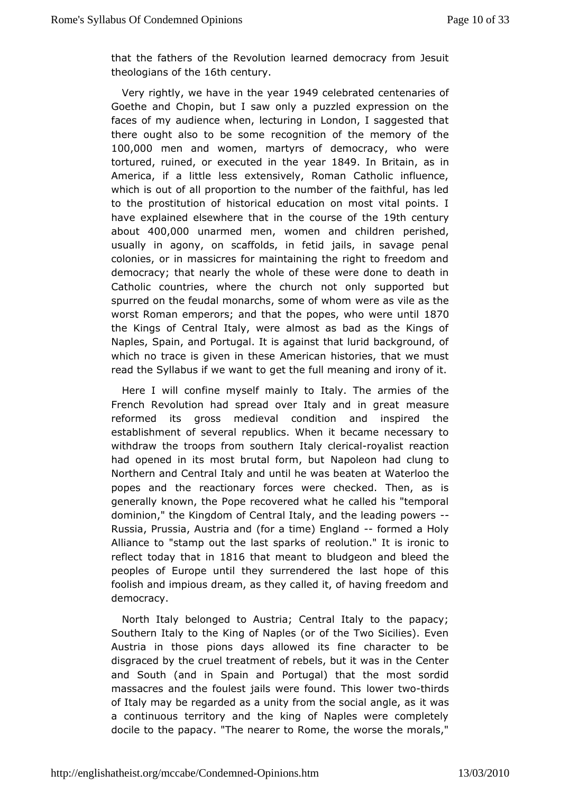that the fathers  $\Re$  te violution learned democracy from Jesuit theologians of otheentury.

Very rightwe have in the 1yoodaorcelebrated centenaries of Goethe and Chopin, but I saw only a puzzled expression on faces of mydience when, lecturing in London, I saggested that there ought also to beesogneition of the memory of the 100,000 men and women ratyrs of democrache were torture duined or executed in the 18/49 alm Britains in America, if a little less extensively, Roman Catholic influ which is outal biproportion to the number of the faithful, has le to the prostitutibinstomatical education on most vital points. I have explained elsewher that the totinse of 19th e century about400,000 unarmed mewnomen and chilopheermished, usually in agony, on scaffolds, in fetid jails, in savage colonies, or in massicres for maintaining the right to freedom democractyhat nearly the whole of these were done to death i Catholic countries, tweenchurch not only supported but spurred on the feudal monarchs, sownee eo as who heads the worst Roman emperors; and that the popes, 108770 were until the Kings of Central Italy, were almost as bad as the King Naple S, pain, and Portugal. It is against that lurid background which no tracopivies in these American histories, that we must read the Syllabus if wegewtathtet of ull meaning and irony of it.

Here I will confine myself mainly The armies of the French Revolution had spread over Italymaaduia great reformed its gross medieval condition and inspired t establishmenseoteral republics. When it became necessary to withdraw the troops from  $\frac{1}{2}$  stand  $\frac{1}{2}$  -rowallist reaction had opened in its most brutal Nfappion, edonuthad clung to Northern and Central Italy and until he Wheat s riboe on the heat popes and the reactionary forces were checked. Then, as generally known, the Pope recovered what he called his "tem dominion," Khingdom of Central Italy, and the leading powers Russia, Prussia, Aus (tho a antolme) England med a Holy Alliance to "stamp out the last te buatrics of it is ironic to reflect today that in that meant to bludgeobleed the peoples of Europe until they surrendered the last hope of foolish and impious dream, as they called it, of having freedo democracy.

North Italy belonged to Austria; Central Italy to the papa Southern Italy to the King of Naples (or of the Two Sicilies). Austria those pions days allowed its fine character to b disgraced by the treerautent ent of rebels, but it was in the Center and South (and in SpaPrortungdal) that the most sordid massacres and the foulest jails werkoweuntdato Trhdiss of Italy may be regarded as a unity from theitsweisal angle, as a continuous territory and the king of Naples were comple docile the papacy. "The nearer to Rome, the worse the morals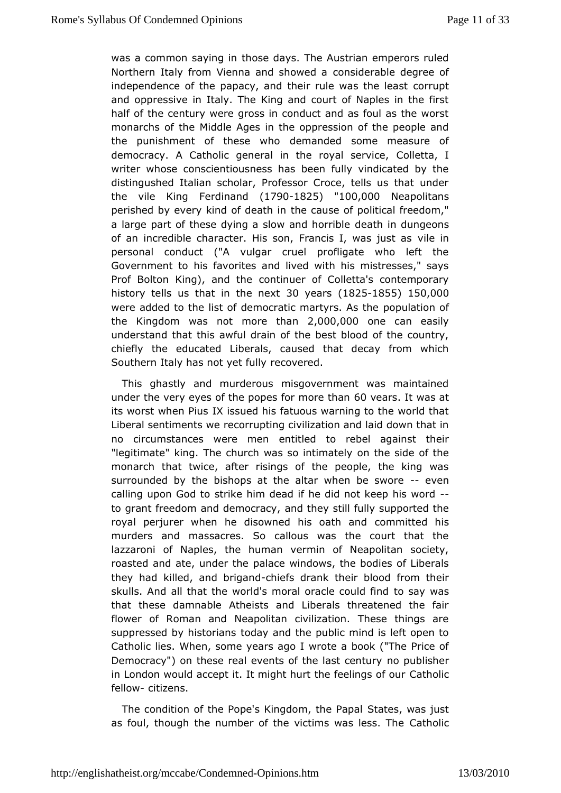was a common saythosin days. The Austrian emperors ruled Northern Italy from Vienna and cshow edable degree of independence of the papacy, and their ruleowas pathe least and oppressive in Italy. The King and court of Naples in the halfof the century were gross in conduct and as foul as the w monarchs of Milhinedle Ages in the oppression of the people and the punishment of thesdemanded some measure of democracy. A Catholic general in the Cooverlation control of writer whose conscientiousness has been fully vindicated b distingushed Italian scholar, Professor Croce, tells us that the vile Kifierdinand17901825 "100,000 Neapolitans perished by every kind of the eactahuisme of political freedom," a large part of these dying a slowdeadh hionrid bihegeons of an incredible character. His son, Francisile, iwas just as personal conduct ("A vulgar cruel profligate who left Governmenthis favorites and lived with his mistresses," say Prof Bolton King), ano ontime user of Colletta's contemporary history tells us that in  $B$ hoeyenext  $8251855150,000$ were added to the list of democratic mpaorphyriations of he the Kingdom was not more, 0toh 2,000 ne can easily understand at this awful drain of the best blood of the country chiefly the educlaite ed als, caused that decay from which Southern Italy has not neectofuelnighd.

This ghastly and murderous misgovernment was maintain undethe very eyes of the popes for 6 more arthrawnas at its worst when I Riuss ued his fatuous warning to the world that Liberal sentimentes cowerupting civilization and laid down that in no circumstances were enthible to rebel against their "legitimate" king. The church was so the msadely of the monarch that twice, after risings of the people, the king surrounded by the bishops at the altar wheen ebe swore calling upon Godritke him dead if he did not keep his word to grant freedom and demandrancy still fully supported the royal perjurer when he disowned hissomentihitead nchis murders and massacres. So callous was the court that lazzaroni Naples, the human vermin of Neapolitan society roasted and ate, unobear atchee windows, the bodies of Liberals they had killed, and -  $b$  hig and rat heir blood from their skulls. And all that the world's moral otacs avew also find that these damnable Atheists and Liberals threatened the flower Roman and Neapolitan civilization. These things and suppressed by histordians and the public mind is left open to Catholic lies. When, some ywe a bea a cobok ("The Price of Democracy") on these real events of the olpasblics metary in London would accept it. It might hurt the afteheollings of our fello-wcitizens.

The condition of the Pope's Kingdom at the Papallust as foul, though the number of the victims C withsolliess. The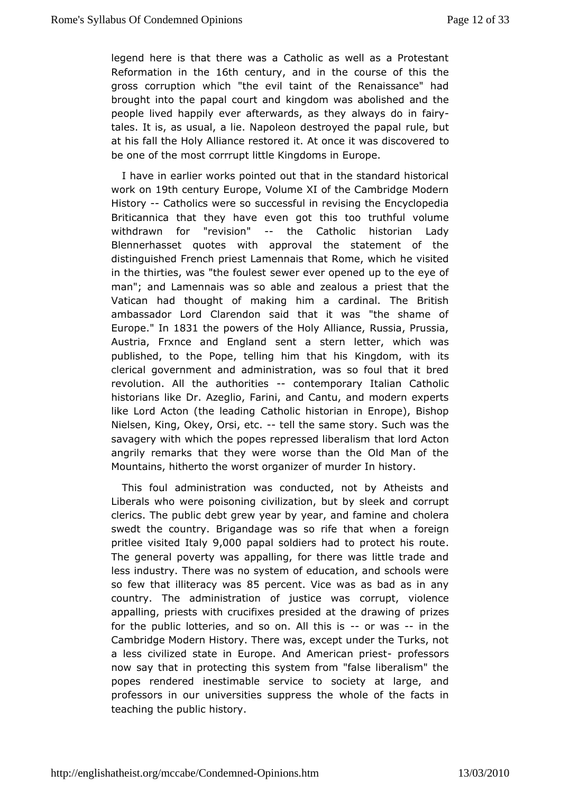legend here is that there was a Catholic as well as a Prote Reformation in 16th centurand in the course of this the gross corrupwibnch "the evil taint of the Renaissance" had brought into the papal chound dommd was abolished and the people lived happily ever afterwand ways dto heim -fairy tales. It is, as usual, a lie. Napoleon destuncey, eblutthe papal at his fall the Holy Alliance restored it. At onde it was discov be one of the most corrrupt little Kingdoms in Europe.

I have emarlier works pointed out that in the standard histori work on9th centu Europe, Volume XI of the Cambridge Modern History Catholics werse uses ful in revising the Encyclopedia Briticannica that they have toh in togoottruthful volume withdrawn for "revisionthe Catholic historian Lady Blennerhasset quotes with approval the statement of t distinguished Fpeinecsht Lamennais that Rome, which he visited in the thirties, was "thseefwo auries suder opened up to the eye of man"; and Lamennais was so able ampdiesetaltchuast ahe Vatican had thought of making him a cardinal. The Brit ambassador Lord Clarendon said that it was "the shame Europe In 1831 thepowers of the Holy Alliance, Russia, Prussia, Austria, Frxnce and Englandstes reamileater, which was published, to the Pope, telling him that whits ikingdom, clerical government and administration, was so foul that it revolution. All the authorothies mporary Italian Catholic historians Dike Azeglio, Farini, and Cantu, and modern expert like Lord Acton (the Ceathonic historian in Enrope), Bishop Nielsen, King, Okey, Orseltene same story. Such was the savagery with which the popes represtshead lidorodraAloissom angrily remarks that they were worse than the Old Man of Mountains, hitherto the worst organizer of murder In history.

This fould ministration was conducted, not by Atheists and Liberals who were podsoointilizantion, but by sleek and corrupt clerics. The public debt grew ay earn by famine and cholera swedt the country. Brigandage was so raifefot heagnwhen pritlee visited 91,t0a0 Opapal soldiers had to protect his route The general poverty was appalling, for there was little tradent less indusThyere was no system of education, and schools wer so few that illitera  $\frac{2}{9}$  pweasent. Vice was as bad as in any country. The administration of justinal epit, was iolence appalling, priests with crucifixes presided ptizes drawing of for the public lotteries, and so on. on N the signishe Cambridge Modern History. There was, except under the Turks a lessivilized state in Europe. And Amepricatens sporisest now say thap riontecting this system from "false liberalism" the popes rendered inestimena bilose to society at large, and professors in our universities swppless fthe facts in teaching the public history.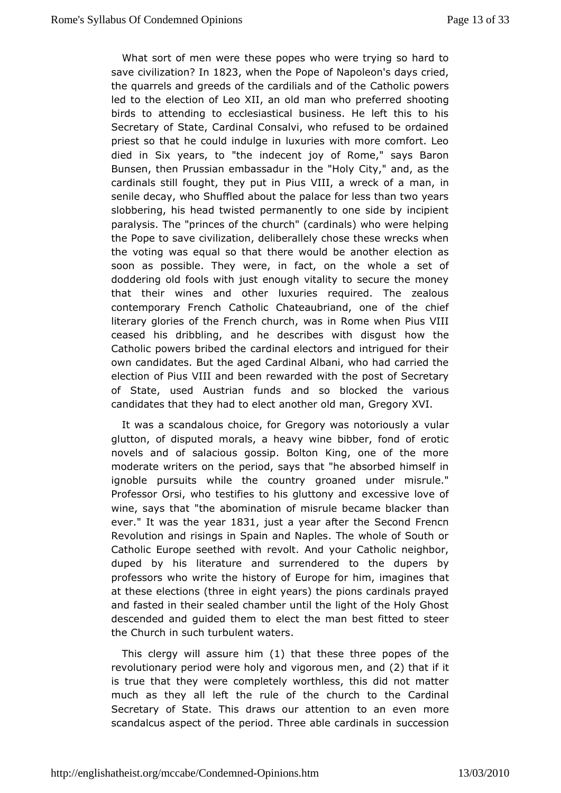What sort of mentwese popes who were trying so hard to save civilization **823** when the PopeNapoleon's days cried, the quarrels and greeds of the cardil Caaltsh and powers led to the election of Leo XII, an old mansh who beim greferred birds to attending to ecclesiastical business. He left this Secretary of State, Cardinal Consalvi, who refused to be ord priest so the at could indulge in luxuries with more comfort. Le died in Six years, tond" ethent joy of Rome," says Baron Bunsen, then Prussian embassadur Gintyt, Heahldolas the cardinals still fought, they put in Pius VImlana wareck of a senile decay, who Shuffled about the palace for less than two slobbering, his head twisted permanently to one side by inc paralysis. The es of the church" (cardinals) who were helping the Pope to  $s$  awidization, deliberallely chose these wrecks when the voting was equal tshoentehaw ould be another election as soon as possible. They were, in fwabb, leoma tsheet of doddering old fools with just enough vitality to secure the m that their wines and other luxuries required. The zeal contemporary Fremtholic Chateaubriand, one of the chief literary glories of the Frenwhischnur Rome when Pius VIII ceased his dribbling, and he describeshow inthelisqust Catholic powers bribed the cardinal electors and intrigued fo owncandidates. But the aged Cardinal Albani, who had carried election of Piulsand been rewarded with the post of Secretary of State, used Austriananfounds blocked the various candidates that they had to elect anoGineegroorlyd XnVan,

It was a scandalous choice, for Gregory was lanotoriously a glutton, of disputed morals, a heavy wine bibber, fond of e novelsand of salacious gossip. Bolton King, one of the mo moderate writers opmertiloned, says that "he absorbed himself in ignoble pursuits while the groman edy under misrule." Professor Orsi, who testifies to his exgdestscinoup and each wine, says that "the abomination of misrule theoame blacker ever It was the year a year after the Second Frencn Revolutiond risings in Spain and Naples. The whole of South Catholic Europe seveithed evolt. And your Catholic neighbor, duped by his literature and sutrorentholered dupers by professors who write the history of Europe forahim, imagines at these elections (three in eight years) the pions cardinals andfasted in their sealed chamber until the light of the Holy ( descended and ded them to elect the man best fitted to steer the Church in such turabule hesn.t

This clergy will assulte than these three popes of the revolutionary period were holy and ,  $\alpha$  in  $\alpha$  (20 usam en it is true that by were completely worthless, this did not matte much as they all left lethef the church to the Cardinal Secretary of State. This draws our antention more scandalcus aspect of the period. Three abloscession als in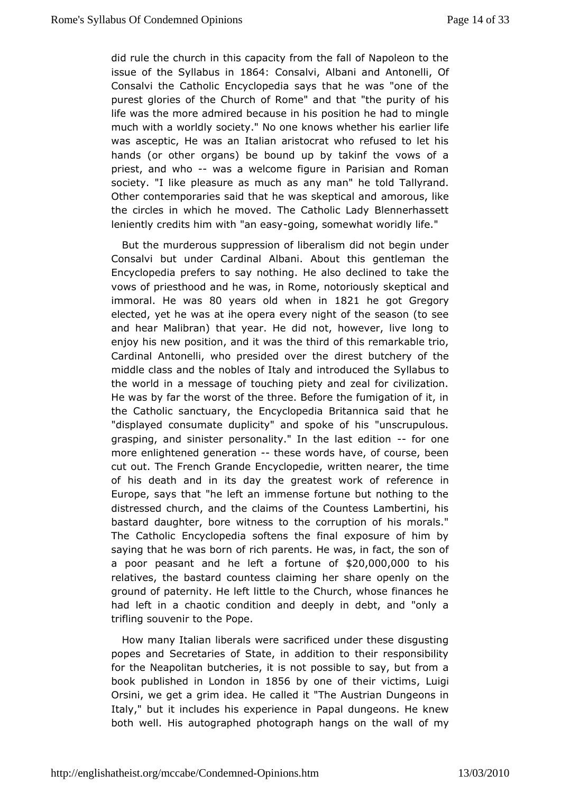did rule the church in this capacity from the fall of Napoleon issue of the Syllab&&4iConsalvAilbani and AntoOtelli Consalvi the cholic Encyclopedia says that he was "one of th purest glories of the oC hRug on he" and that "the purity of his life was the more admired becpacussion the had to mingle much with a worldly society." No one knows ariwhet the rhis was asceptic, He was an Italian aristocrat who refused to  $\mathbb H$ hands (or other organs) be bound up by takinf the vows o priest, and w-hwo as a welcome figure in Parisian and Roman society. "I like pleasure as anny umhan a's he told Tallyrand. Other contemporaries said that he was a shown puts all is added the circles in which he moved. The Catholic Lady Blennerha leniently credits him withg bange assow mewhat woridly life."

But the urderous suppression of liberalism did not begin unc Consalvi but ucatedinal Albani. About this gentleman the Encyclopedia prefers to salle en oat is in get eclined to take the vows of priesthood and he was, in Romsek, epotical and y immoral He wa<sup>\$</sup>0 years old when 1821 he got Gregory electedet he was at ihe opera every night of the season (to : and hear Malibtheant) year. He did not, however, live long to enjoy his new position, athobithion and this remarkable trio, Cardinal Antonelli, who presided dress terbutheen ery of the middle class and the nobles of Italy and Syntabus the  $S$ the world in a message of touching piety and zeal for civiliz He was by far the worst of the three. Before the fumigation of the Catholic sanctuary, the Encyclopedia Britannica said tha "displayednsumate duplicity" and spoke of his "unscrupulou grasping, and sipesriseornality." In the last-éodition me more enlightened genertation words have, of course, been cut out. The French Grande Envariatepende arer, the time of his death and in its day the greatester ewnocrek ionf Europe, says that "he left an immense fortune but nothing to distressed church, and the claims of the Countess Lambertin bastardaughter, bore witness to the corruption of his morals The Catho Einccyclopedia softens the final exposure of him b saying that he was biocith poarents. He was, in fact, the son of a poor peasant and he left  $\omega$  for  $\omega$  and  $\omega$  of  $\omega$ relatives, the bastard countess claiming hem share openly ground of paternity. He left little to the Church, whose finane hadleft in a chaotic condition and deeply in debt, and "onl trifling souve thine thope.

How many Italian liberals were sacrificed under these disgu popes and Secretaries of State, in addition to their respons for the eapolitan butcheries, it is not possible to say, but from book published on molon 11 856 by one of their yilculignis Orsini, we get a grim icded be d Hiet "The Austrian Dungeons in Italy," but it includes his expepiaeln deuniqueons. He knew both well. His autographed photograph hanogfs moyn the wall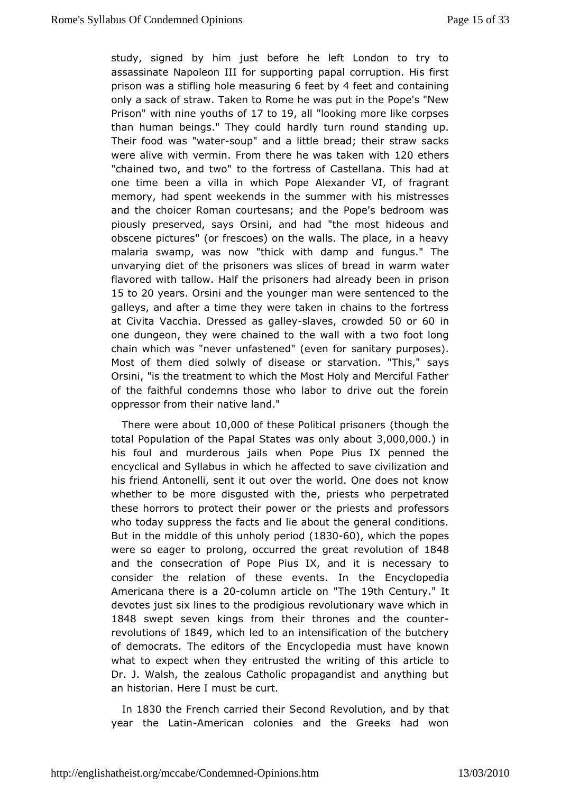study, signed by him just before he left London to trv assassin altaepoleon III for supporting papal corruption. His fir prison was a stiolliengmeasuroinfiget by feet and containing only a sack of straw. Rakmen he was put in the Pope's "New Prison with nine youths too fl 9, all"looking more like corpses than human beings." They could hardlsytat md ingound Their food was "swautet and a little bread; their straw sacks were alive with vermomm there he was take 20 wethers "chained twod two" to the fortress of Castellana. This had a one time been a viwlhaichn Pope Alexander VI, of fragrant memory, had spent weekends in twethsuhmismentistresses and the choicer Roman courtesans; and the Pope's bedroom piously preserved, says Orsini, and had "the most hideous obscene pictures frescoes) on the walls. The place, in a heav malaria swamp, was nowwith damp and fungus." The unvarying diet of the prisoners was shicwarm watead flavored with tallow. Half the prisoners had praismenady been in 15 to20 years rsini and the younger man were sentenced to the galleyand after a time they were taken in chains to the fortre at Civita VacDheassed as galley estrowde500 or60 in one dungeon, they were chaine wall to with a two foot long chain which was "never unfastenesdän (i eareyn porposes). Most of them died solwly of disease or stastayastion. "This," Orsini, "is the treatment to which the Most Holy and Merciful of théaithful condemns those who labor to drive out the for oppressor from ntahteivre land."

There were  $a\beta_0\alpha_0\alpha_0$  these Political p(thison optimation total Population of the Papal States  $\Re$  a $\Im$  000,000  $\Im$ his foualnd murderous jails when Pope Pius IX penned the encyclical and Syllwabucshihe affected to save civilization and his friend Antonelli, sent it the tworld. One does not know whether to be more disgusted with wthe, pperripe estinsated these horrors to protect their power or phrefpsiseositss and who today suppress the facts and lie about the general condi But in the middle of this unholy period (1830-60), which the popes were so eagoer prolo, nog ccurred the great revollu8t4 os of and the consecration oPiuRop&, and it is necessary to consider the relation of these everEnscydhoptholia Americana there20-scodumn article The19th Centuryt devotes just six lines to the prodigious revolutionary wave wh 1848 sweptseven kings from their thrones and the counter revolutions 8049 which ledato intensification of the butchery of democrats. The editors of the Ennuosytchcapveedikanown what to expect when they entrusted the writing of this artic Dr. J. Walsh, the zealous Catholic propagandist and anythin anhistorian. Here I must be curt.

In 1830 the French carried theire Sycodonion, and by that year the LaAtminerican colonies and the Greeks had won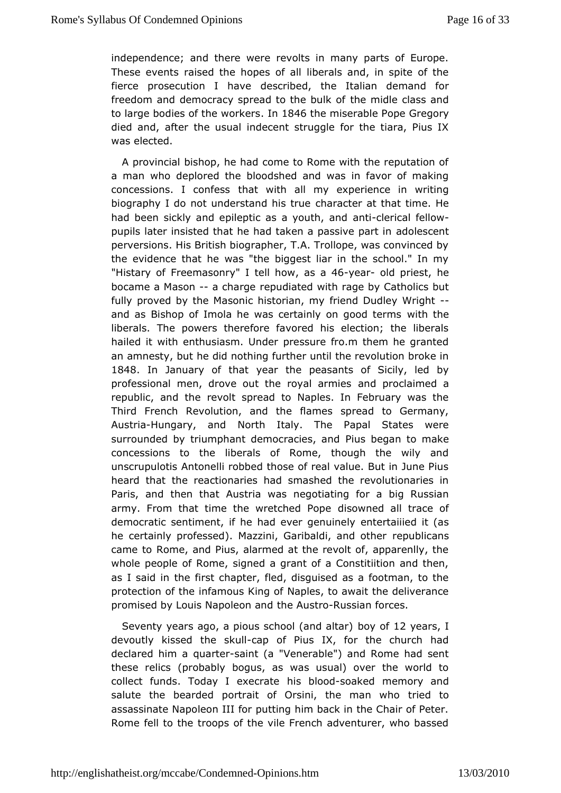independence; and there were revolts in many parts of Eur These evenassed the hopes of all liberals and, in spite of t fierce prosecution Idehsaoreibed, the Italian demand for freedom and democracy spread to the embidle class and to large bodies of the lwndr&k4e6the miserable GProepgeory died and, after the usual indecent struggle for the tiara, Pi waselected.

A provincial bishop, he had come to Rome with the reputation a man who deplored the bloodshed and was in favor of mak concessions. I cotmiteets swith all my experience in writing biography I do not understandh an interveat that time. He had been sickly and epileptic as an wind buthi, caal n dellow pupils later insisted that he had taken a a passive npart in perversions. His British biographer, T.A. Trollope, was convin the evidence that he was "the biggest liar in the school."  $\overline{a}$ "Histary Forfeemaso" htytell how is a 46-year old priest, he bocame a Mascancharge pudiated with rage by Catholics but fully proved by the Masonic histicemidnDundyey W-r-ight and as Bishop of Imola he was certainly wointhgoloocd terms liberals. The powers therefore favored his election; the lil hailed it with enthusiasm. Under pressure fro.m them he gra an amnesty, hoe utdid nothing further until the revolution broke in 1848 In January of ybat the peasants of Sicily, led by professional men, drove out the rap wed paromalar smed a republic, and the revolt spread to Naples. In February was Third French Revolution, and the flames spread to German Austribungary, and Dorth Italy. The Papal States were surrounded by triumphant democracius solegad to make concessions to the liberals of Rome, though the wily  $\epsilon$ unscrupulotis Antonelli robbed those of real value. But in Jur heard that e reactionaries had smashed the revolutionaries Paris, and then Atubsatria was negotiating for a big Russian army. From that time the wretcchied wPhopoleall trace of democratic sentiment, if he had evente etrau iineed yit (as he certainly professed). Mazzini, Garibraelplublaionalnother came to Rome, and Pius, alarmed at the revolt of, apparenlly whole people of Rome, signed a grant of a Constitiition and as I said the first chapter, fled, disguised as a footman, to t protection ofinthe mous King of Naples, to await the deliverance promised by Louis Napolben Austrosian forces.

Seventy years ago, a pious schood of  $\alpha$  mulles are set of 12 and  $\alpha$ devoutly kissed the cap kudf Pius IX, for the church had declared him a q-sainer (a "Venerable") and Rome had sent these relines aboutly bogus, as was usual) over the world to collect funds. Today I  $\triangle$  ax  $\triangle$  cbato  $\triangle$  oaked memory and salute the bearded portrait of Orsini, thie edman who assassinate Napoleon III for putting him back in the Chair of Rome fell to the troops of the vile French adventurer, who b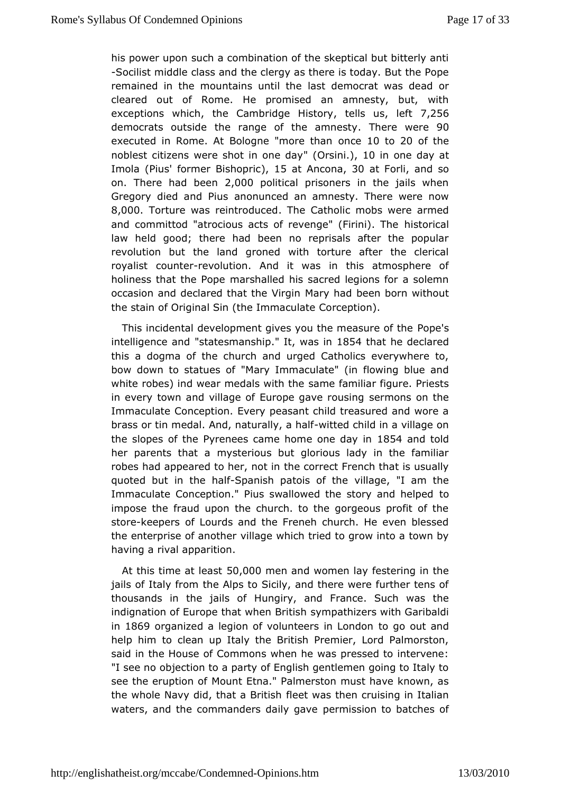his power uponh a combination of the skeptical but bitterly an -Socilist middle clabe a hedroy as there is today. But the Pope remained in the mountains lastild theocrat was dead or cleared out of Rome. He promised an amnesty, but, wi exceptions which Cambridge History useft7,256 democrats outshobe range of the amnesty we be executed in Rome. At Bologne "omcetottho 2n0 of the noblest citizens were shot "in O o sien) id a 2 in one have at Imola(Piusformer Bisho), pt 5 cat Ancon3a0 at Fortaind so on. There had been 00 political prisoners in the jails when Gregory died and a Pousinced an amnesty. There were now 8,000Torture was reintrodue Gatholic mobs were armed and committod "atrocious acts of revengens ( $\delta$ irical). The law held good; there had been no reprisals after the pop revolution but the land groned with torture after the cler royalisdounter evolution. And it was in this atmosphere of holiness that the meaps the alled his sacred legions for a solemn occasion and declared that Miaey Vhagdinbeen born without the stain of Original Sin (the Crome aputione).

This incidental development gives you the Pope a'ssure of the intelligence "satractesmanshlip was in 854 that he declared this alogma of the church and urged Catholics everywhere t bow down to statu'elsa by Immaculate" (in flowing blue and white robes) ind wear medals a whith the same figure. Priests in every town and village of Europe sopearmeons uosninghe Immaculate Conception. Every peasant child treasured and we brass or tin medal. And, natu-mailthed achall fin a village on theslopes of the Pyrenees came home 85514eand day to ind her parents thanty saterious but glorious lady in the familiar robes had appeared to helme not intect French that is usually quoted but in the Sphaanlish patois ovfillinge, "I am the Immaculate Conception." Pius swallowed the story and helpe impose the fraud upon the church. to the gorgeous profit of stor eepers f Lourds and the Freneh church. He even blesse the enterprise of avnioltange which tried to grow into a town by having a rival apparition.

Atthis time at 15eOa, s0t0 Omen and women lay festering in the jails of Italy themAlps to Sicily, and there were further tens o thousands in the jaHusngoify, and France. Such was the indignation of Europe that whem peartihitizers with Garibaldi in 1869 organized a legion of volunteertso igno Loountdoanmed help him to clean up Italy the British Premier, Lord Palmor said in the House of Commons when he was pressed to interv "I see mobjection to a party of English gentlemen going to Italy see the eruption of t Etna." Palmerston must have known, as the whole Navy did, that fae Briwash then cruising in Italian waters, and the commanders opening gailoren to batches of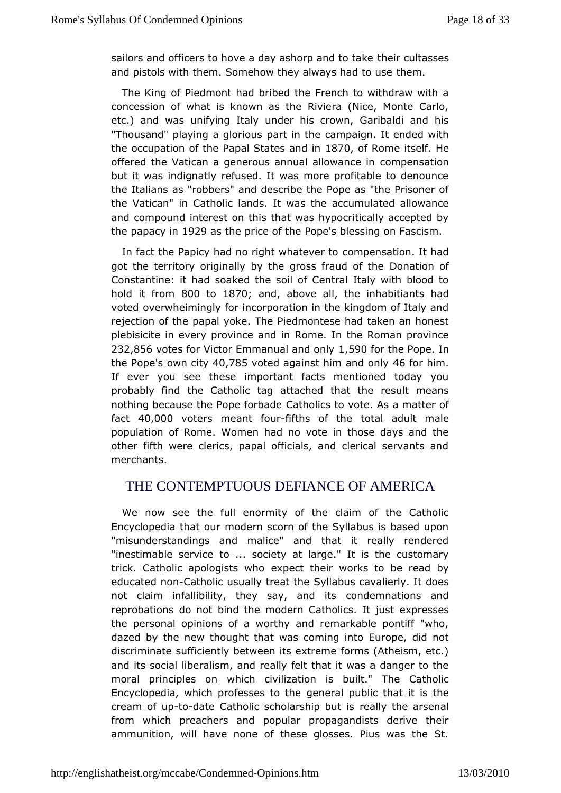sailors and officers to hove a dav ashobhopinanoulltastseekse and pistols with them. Somehow they alwthy esmhad to use

The King of Piedmont had bribed the French to withdraw wi concession of what is known as the Riviera (Nice, Monte C etc.) and wansifying Italy under his crown, Garibaldi and his "Thousand" playing a **gaotiowsthe campaign. It ended with** the occupation of the Papal Staa Poon ne its the t offered the Vatican a generous annuad oam boewnas madieonin but it was indignatly refused. It was more profitable to denc the Italians as "robbers" and describe the Pope as "the Prisc the Vatican" Catholic lands. It was the accumulated allowanc and compound interelesits othiat was hypocritically accepted by the papacy  $9a$  9as the price of ophee's blessing on Fascism.

In fact the Papicy had no right ovolmapensattion. It had got the territory originally by the gros**Bonatudnobithe** Constantine: it had soaked the soil of Central Italy with blo hold it from 000 to 1870 and above athe inhabitiants had vote wheimingly for incorporation in the kingdom of Italy rejection of ptahpeal yoke. The Piedmontese had taken an honest plebisicite in every pamod imce Rome. In the Roman province 232,856 otes for Victor Emmanual and only he P.d poe the Po's eown  $c$   $40,785$  oted against him a  $46$  fonly im. If ever you see these important facts mentioned today y probably fitme Catholic tag attached that the result means nothing because the Pope atorbade to vote. As a matter of fact40,000 voters meant-ffioturns of the tadult male population of Rome. Women had no vote in those days and other fifth were clerics, papal officials, and clerical servan merchants.

# THE CONTEMPTUOUS DEFIANCE OF MERICA

We now see the full enormity of the claim of the Catho Encyclopedia that our modern scorn of the Syllabus is based "misunderstandings and malice" and that it really rende "inestimable setrovice society at large." It is the customary trick. Catholic apologists pew thotheir works to be read by educated noantholic usually tr&atlabes cavalierly. It does not claim infallibility, they say onal net mids ons and reprobations do not bind the modern Caehxolricssest just the personal opinions of a worthy and remarkable pontiff  $\mathbb{I}^{\dagger}$ dazedby the new thought that was coming into Europe, did n discriminatufficiently between its extreme forms (Atheism, etc. and its sobibedralism, and really felt that it was a danger to t moral principles which civilization is built." The Catholic Encyclopedia, which professes etroal the ublic that it is the cream of-topdate Catholic scholarship ably ttimse arsenal from which preachers and popular propagandists derive t ammunition, will have none of these glosses. Pius was the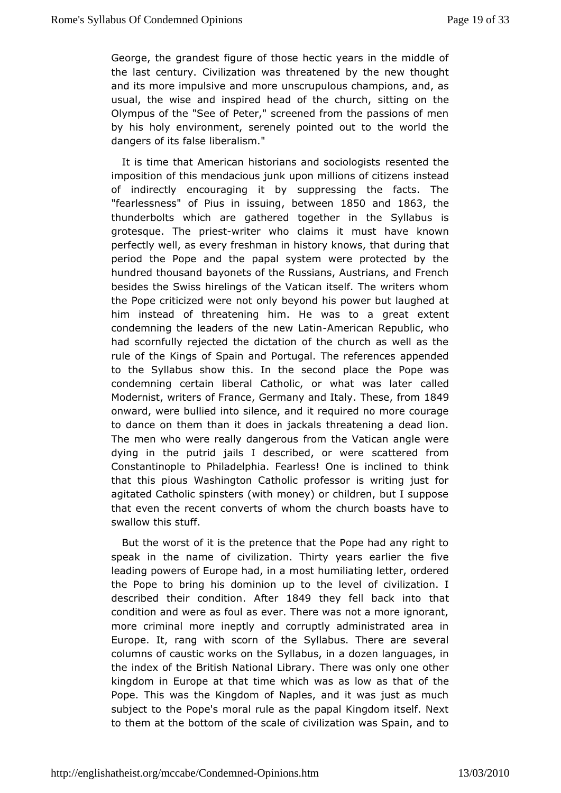George, to meandest figure of those hectic years in the middle the last cent Oivilization was threatened by the new thought and its more impulsive aund sorroupeulous champions, and, as usual, the wise and inspired head of the achunchme Olympus of the "See of Peter," screened from the passions o by his holy environment, serenely pointed out to the world dangers offatse liberalism."

It is time that American historians and sociod ordiniests imposition of this mendacious junk upon milhisdeadof citizens of indirectly encouraging it by suppressing the facts. "fearlessn" est Pius in issuent ween 850 and 1863 the thunderbolts whireh gathered together in the Syllabus is grotesque. The -puriidet who claiitm snust have known perfectly well, as every freshman in histoburyinkon othwast that period the Pope and the papal system were protected by hundretchousand bayonets of the Russians, Austrians, and Fre besides the Shwissings of the Vatican itself. The writers whon the Pope criticized wonly betwond his power but laughed at him instead of threatening him. He gweeast boxteant condemning the leaders of the Ameew id antim Republic, who hadscornfully rejected the dictation of the church as well as rule of the Kong Spain and Portugal. The references appended to the Syllabus show thissetrontcheplace the Pope was condemning certain liberal Catholic, or worldtedwas later Moderniswtriters of France emany and Italiers, efrom 1849 onwardwere bullied into silence, and it required no more cour to dance on them it hobones in jackals threatening a dead lion. The men who were really dfarrogmentohues Vatican angle were dying in the putrid jails I described atterrewde freom Constantinople to Philadelphia. Fearless! Otmenks inclined to that this pious Washington Catholic professor is writing just agitate Cdatholic spinsters (with money) or children, but I supp that even the reconverts of whom the church boasts have to swallow this stuff.

But theorst of it is the pretence that the Pope had any right speak in the name violization. Thirty years earlier the five leading powers of Europemhoasot, himailiating letter, ordered the Pope to bring his dominion up otto ctilve-lizeawte-on. I described their condition the 49 they fell back thratto condition and were as foul as ever. There was not a more ign morecriminal more ineptly and corruptly administrated area Europe. It, rang swotth of the Syllabus. There are several columns of caustic work Syblature, in a dozen languages, in the index of the British National ale releibor as yonly one other kingdom in Europe at that time which was oafsthoew as that Pope. This was the Kingdom of Naples, and it was just as a subject the Pope's moral rule as the papal Kingdom itself. Next to them at the botttome socale of civilization was Spain, and to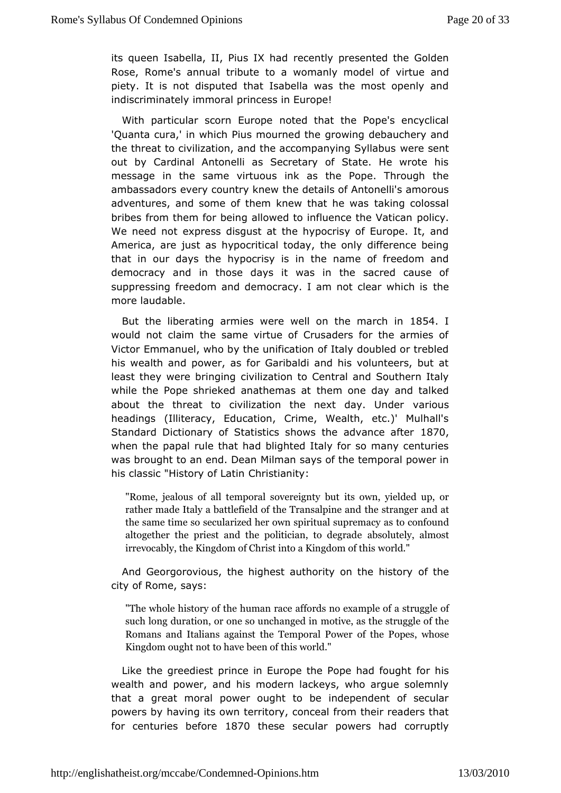its queen Isabella, II, Piusch thad resented the Golden Rose, Rome's annual tribute to a womanity uenceded of piety. It is not disputed that Isabella was the most openly indiscriminately immoral princess in Europe!

With particular scorn nEouted opentual the Pope's encyclical 'Quanta cura,' in which Pius moprophoniendong tcheebauchery and the threat to civilization, and the accompwaenyeinsgenStyllabus out by Cardinal Antonelli as Secretary of State. He wrote messagen the same virtuous ink as the Pope. Through the ambassadors every counthye kdneet wils of Antonelli's amorous adventures, and some of them knew ttahkaitnonecowlessal bribes from them for being allowed to influpotic ythe Vatican We need not express disgust at the hypocrisy of Europe. It, Americanre just as hypocritical today, the only difference be that in our dayshythe ecrisy is in the name of freedom and democracy and in those days ihewaacined cause of suppressing freedom and democracy. I am notthelear which is more laudable.

But the liberating armies were well on 1the march in would not claim the same virtue of Crusaders for the armie VictoErmmanuel, who by the unification of Italy doubled or tret his wealth **and** er, as for Garibaldi and his volunteers, but a least they were brothygilling ation to Central and Southern Italy while the Pope shrieked anathemasnatday and talked about the threat to civilization the next a diapy.s Under headings (Illiteracy, Education, Crime, Wealth, etc.)' Mul Standard Dictionary of Statistics shows the  $8a0$  vance after when the papual that had blighted Italy for so many centuries was brought to an end lil Domesam says of the temporal power in his classic "History ColfrLsattiannity:

"Rome, jealous of all temporalit**s oww.meigynieded tup**, or rather made Italy a battlefield of tthe sTtrraamsgaelpianred aantd the same time so secularized her owasspoirctourafloundremacy altogether the priest and the polatbicial  $\mathbf{u}$  degrade the absolute  $\mathbf{u}$ irrevocably, the Kingdom of Christ inutoorlad. Kingdom of this

And Georgorovious, the highest authority oo nthe history city of Rome, says:

"The whole history of the ffrounds am orace eample of a struggle of such long duration, or one smootuin ehaansgelule instruggle of the Romans and Italians against the of Tet map of Table Psower mose Kingdom ought not to haweoblede h of this

Like the greediest prince in Europe the Pfopehihsad fought wealth and power, and his modern lackeys, who argue soler that agreat moral power ought to be independent of secular powers by having its row ory, conceal from their readers that for centuries bef8o7r@thesesecular powers had corruptly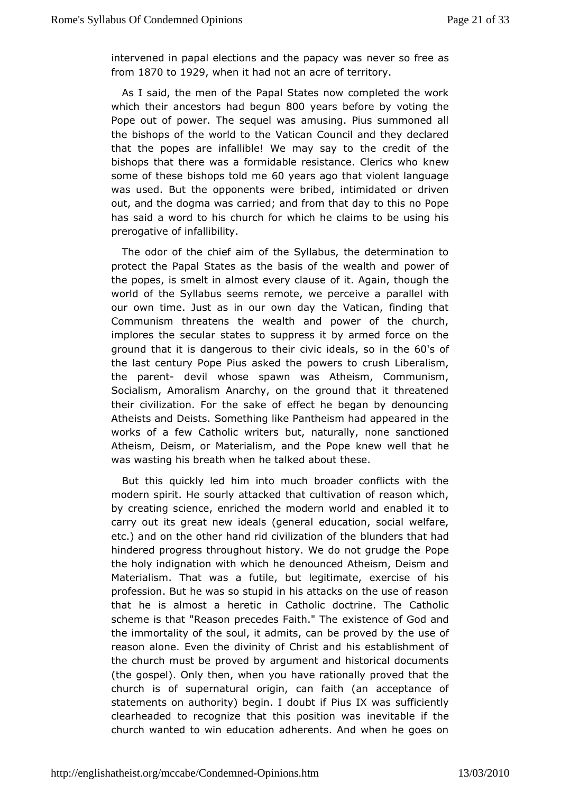intervened in papal elections and three  $\nu$  aparov from as  $f$ rom1870 $t$ o1929when it had not an  $a$ e $c$ rrreitory.

As I said, the men of the Papal States now completed the w which their ancestors ha  $d$ 0  $\Phi$  gains before by voting the Pope outpoofwer. The sequel was amusing. Pius summoned all the bishops of the worldatocame Council and they declared that the popes are infallible! We they csead it to the bishops that there was a formidable resistancew Clerics who some of these bishops 6tol wears ago that violent language was useBut the opponents were bribed, intimidated or drive out, and the dogmaawraed; and from that day to this no Pope has said a word to his cwhich four claims to be using his prerogative of infallibility.

The odor the chief aim of the Syllabus, the determination t protect the Papal Statesbasis of the wealth and power of the popes, is smelt in almost earierly  $\alpha$  againe, though the world of the Syllabus seems remote, wearablede with ha our own time. Just as in our own day the Vatican, finding Communism threatens the wealth and power of the churc implores the sesctualteers to suppress it by armed force on the ground that it is dangerous ivic the east in the eys of the last century Pope Pius asked the power bearted ism, the parendevil whose spawn was Atheism, Communism, Socialism, Amoralism Anarchy, on the ground that it threate theircivilization. For the sake of effect he began by denoun Atheists and DSicsmesthing like Pantheism had appeared in the works of a few Catholic but, iteasurally, none sanctioned Atheism, Deism, or Materialism, a hole when  $\theta$  do pto hat he was wasting his breath when he talked about these.

Butthis quickly led him into much broader conflicts with  $\pm$ modern spirits olutely attacked that cultivation of reason which by creating science,  $\phi$ heichheddern world and enabled it to carry out its great new ideals  $d/dg$  a hieomal social welfare, etc.) and on the other hand rid civibilzuantdens of that thad hindered progress throughout history. We doPape grudge the the holy indignation with which he denounced Atheism, Deism Materialism. That was a futile, but legitimate, exercise o profession.h Buwas so stupid in his attacks on the use of reason that he is almost a heer $\epsilon$ tatholic doctrine. The Catholic scheme is that "Reason precedese Finstent erbe God and the immortality of the soul, it admits, cathebeus percovied by reason alone. Even the divinity of Christ and his establishm the church must be proved by argument and historical docum (the gospeonly then, when you have rationally proved that the church is of supernoartiginal, can faith (an acceptance of statements on authority) begin Pilus oluxb twafs sufficiently clearheaded to recognize that this imeslitiad inderest the church wanted to win education adherents. And when he goe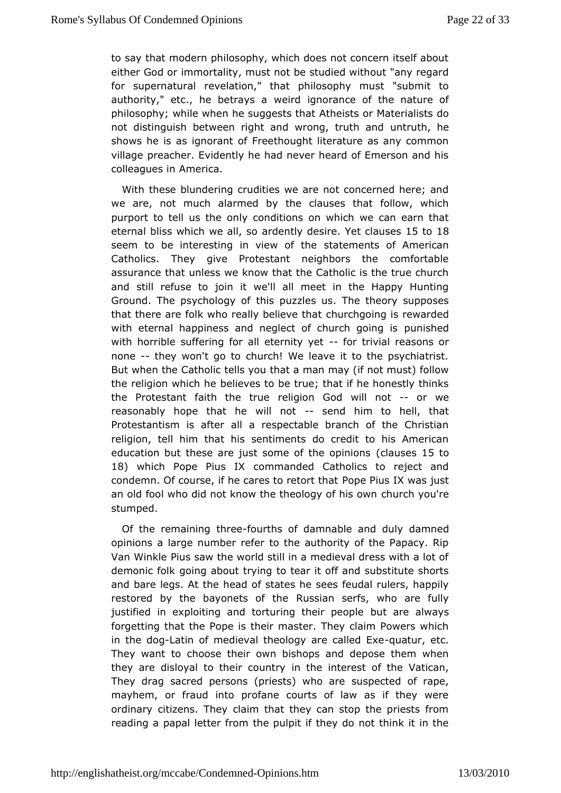to say that modern philosophy, which does not concern itself either God nomortality, must not be studied without "any regard for supernatureal elation," that philosophy must "submit to authority," etc., he bewreaved a anorance of the nature of philosophy; while when he sugAdesists hat Materialists do not distinguish between right and wronumg, trutth the hand shows he is as ignorant of Freethought literature as any cor village preacher. Evidently he had never heard of Emerson and colleague & merica.

With these blundering crudities we are not concerned here; we are, not much alarmed by the clauses that follow, whi purport to tell ussnthe econditions on which we can earn that eternal bliss which werdelnts y des Yiet claus est of 8 seem to be interesting in vieswatemethes of American Catholics. They give Protestant neighbors the comforta assurance that unless we know that the Catholic is the true c and stinefuse to join it we'll all meet in the Happy Huntir Ground. The psycholtohol puzzles us. The theory supposes that there are folk who really beluine combegoin and is rewarded with eternal happiness and neglect of chunch and is with horrible suffering for all  $\epsilon$ tfeormittiviviet reasons or none-- they won't go to church! We leave it to the psychiatri But when the tholic tells you that a man may (if not must) follo the religion white heves to be true; that if he honestly thinks the Protestant faith threlignion God will- noot we reasonably hope that he wildemobthim hoell, that Protestantism is after all a respectable branch of the Chr religion, tell him that his sentiments do credit to his Ame education bluese are just some of the (cdp unsieds 5sto 18) which Pope Pius om Minanded Catholics to reject and condemn. Of course, if he cares Poopet Prius hlaxt was just an old fool who did not know the theol**o**lgy r**ol** his bosu'creen stumped.

Of the remaining-fobured as of damnable and  $d$  and  $d$ opinions a large number refer to the authority of the Papacy VanWinkle Pius saw the world still in a medieval dress with a demonic fgbking about trying to tear it off and substitute shor and bare legs. Antealde of states he sees feudal rulers, happily restored by the bayonets Rossiane serfs, who are fully justified in exploiting and torturing bull earrepead pulzeys forgetting that the Pope is their master. They claim Powers in the dagtin of medieval theology are quatued  $Exce$ They want cthoose their own bishops and depose them when they are disloyal to theim columeting terest of the Vatican, They drag sacred persons (priestssu) spowthooteadreof rape, mayhem, or fraud into profane courts of law as if they w ordinary citizens. They claim that they can stop the priests reading papal letter from the pulpit if they do not think it in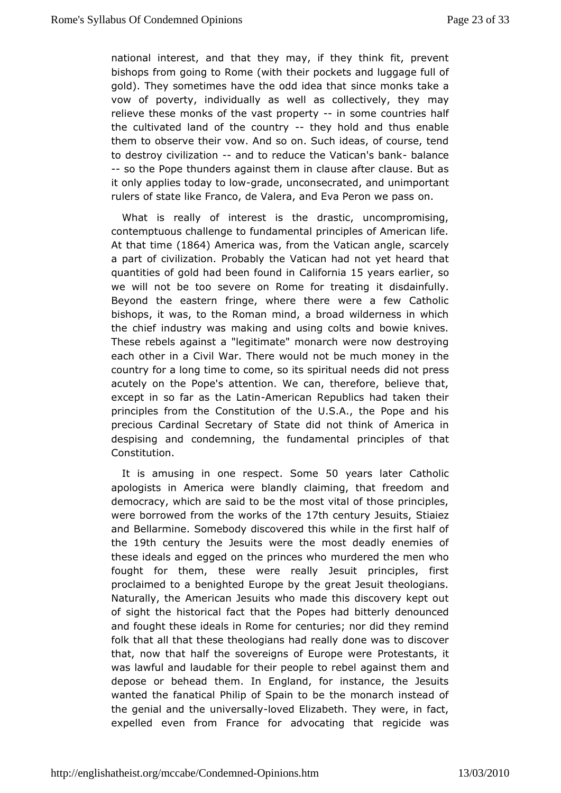national interærsd, that they may, if they think fit, prevent bishops from going to Rotheif wpot kets and luggage full of gold). They sometimes have the odich celeran oth has take a vow of poverty, individually as well as comilæctively, they relieve these monks of the vastip rsop menty countries half thecultivated land of the -edustyry hold and thus enable them to obsethweir vow. And so on. Such ideas, of course, tend to destroy civiliz-aatingtho reduce the Vatican bsalbaancle --so the Pope thunders againstathen after clause. But as it only applies todaygit and bow unconsecratured, nimportant rulers of state like Franco, de Valera, and Eowa Peron we pass

What is really of interest is the drastic, uncompromisi contemptuous challenge to fundamental principles of Americal At that time 64 America warsom the Vatican, acupteely a part of civiliz Parto obmably the Vatican had not yet heard that quantities of gold had beenCabition rothin any ears earlier we will not be too severe on Rome if od is deaa hing ily. Beyond the eastern fringe, where there were a few Cath bishops, it was, to the Roman mind, a broad wilderness in v the chierfdustry was making and using colts and bowie knive These rebels aga"ihesgtitamate" monarch were now destroying each other in a Civil War. The tebe omuluch money in the country for a long time to come, so its dsipliniolt apiraseds acutely on the Pope's attention. We can, therefore, believe except in so far as t-Amenderaitionn Republics had taken their principles ftben Constitution of the U.S.A., the Pope and his precious Cardinal Secr&tare did not think of America in despising and condemning, the funnicipalnetsal of that Constitution.

It is amusing in one r&s mest 0 years later Catholic apologists in America were blandly claiming, nd hat freedom democracy, which are said to be the most vital of those princ wereborrowed from the works 7th the tury Jesuits ez and Bellarm Snoemebody discovered this while in the first half of the19th century the Jewsauries the most deadly enemies of these ideals and egged on the pnuindes reached men who fought for them, these were really Jesuit principles, f proclaimed to a benighted Europe by the great Jesuit theolog Naturally, Ameerican Jesuits who made this discovery kept ou of sight the historichatiable Popes had bitterly denounced and fought these ideals inc**Romusiés**; nor did they remind folk that all that these theologiadenheaw arseablydiscover that, now that half the sovereigns of PE outreospteanwise, reit was lawful and laudable for their people to rabel against the depose or behead them. In England, for instance, the Jes wanted the natical Philip of Spain to be the monarch instead the genial and univeersallowed Elizabeth. They were, in fact, expelled even from Framade otating that regicide was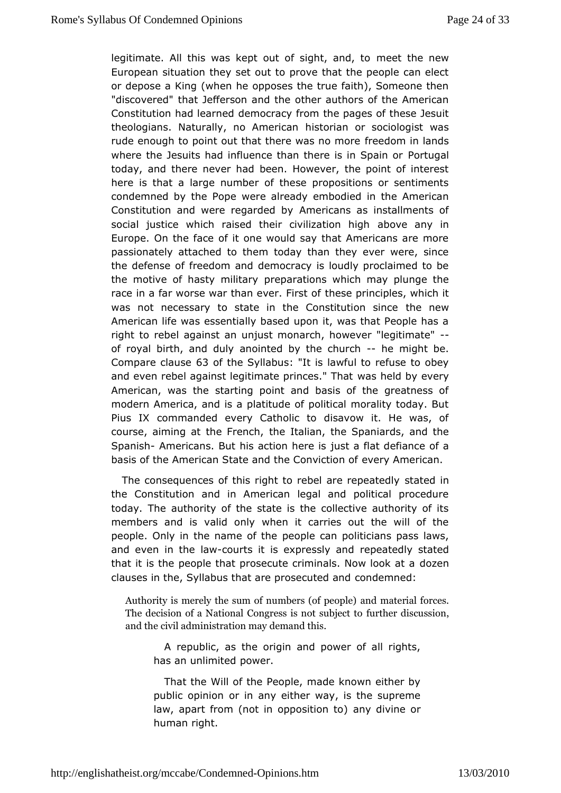legitimate. All this was kept out of snight, theodnews European situation they set out to prove that the people can or depose a King (when he opposes the true faith), Someone "discoverebdät Jefferson and the other authors of the America Constitution had Idam med racy from the pages of these Jesuit theologians. Naturally, no hAisnteorriicaan or sociologist was rude enough to point out that there fweesdom minorleands where the Jesuits had influence than ther Poisulary also ain or today, and there never had been. However, the point of inte here ithat a large number of these propositions or sentiment condemned by the wPeopealready embodied in the American Constitution and were reg**amded caps** as installments of social justice which raised their civaibiozvaetioannyhiighh Europe. On the face of it one would say that Americans are passionately attached to them today than they ever were, s the defenserebdom and democracy is loudly proclaimed to be the motive of hasty mprile paarnyations which may plunge the race in a far worse war than etheerse Fiprisith of fples, which it was not necessary to state in the Conshieutriew since American life was essentially based upon it, was that People righto rebel against an unjust monarch, however "legitimate" of royal birth, dahyd anointed by the -ethuer crhight be. Compare claws of the Syllabusis lawful to refuse to obey and even rebel against legitimate pwas cheld by a tvery American, was the starting point and basis of the greatnes modern America, and is a platitude of political morality toda Pius IXommanded every Catholic to disavow it. He was, o course, aiming at the the enteal, ian, the Spaniards, and the Spanish mericans. But his action was steaflist defiance of a basis of the American State and the  $@$  only intermined mixed in .

The consequences of this right to rebels a a be depreated by the Constitution and in American legal and political proce todayThe authority of the state is the collective authority of members andvastid only when it carries out the will of the people. Only in the nampeoplehean politicians pass laws, and even in the columus it is expressley peantdedly stated that it is the people that prosecute criminalso.zollow look at a clauses in the, Syllabus that are pcosed euroned dand

Authority is merely the sum of nuamble mesa t(eorfianal enforced and  $\lambda$ The decision of a National Congrefs is the modis subseach, to and the civil administration may demand this.

A republic, as the origin and power of all rights, has an unlimpted er.

That the Will of the People, made known either by public opindonin any either way, is the supreme law, apart from (not in opposnition ivine or human right.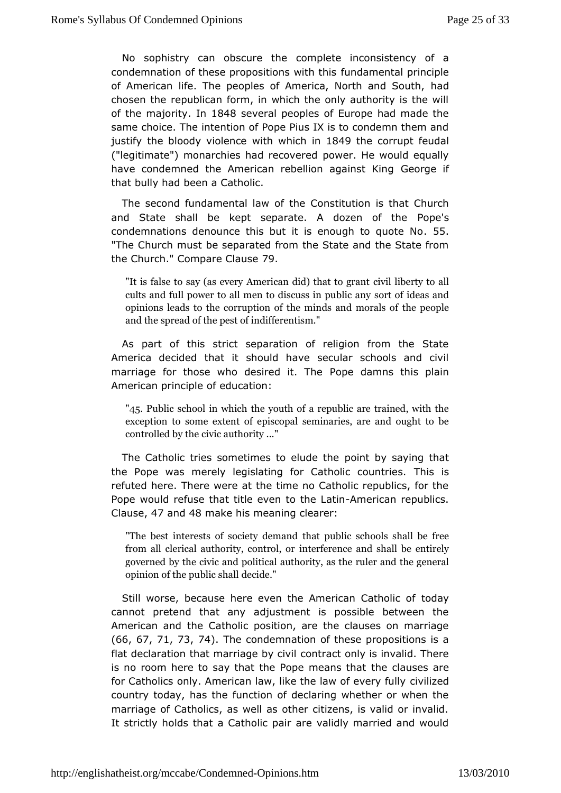No sophistry can obscucroempheete inconsistency of a condemnation of these propositions advaint heat that sprinciple of American life. The peoples of America, Nhoardh and South, chosen the republican form, in which the only authority is the  $\overline{a}$ of the ajority n 1848 several peoples of Europe had made the same choice. in the ion of Pope Pius IX is to condemn them and justify the bloody vioithen we hich 1 Bn4 9 the corrupt feudal ("legitimate") monarchies had proewcoen.e Heed would equally have condemned the American rebellion Gapaiquestif King that bully had been a Catholic.

The second fundamentathleawC confstitution is that Church and State shall be kept separate. A dB p p is the condemnations denounce this but it is enought to quote No "The Chumchst be separated from the State and the State fron the Church." Compare 70lause

"It is false to say (as every Ameri $\bm{\mathsf{c}}$ awildi $\bm{\mathsf{d}}$ )ethyattotoal $\bm{\mathsf{d}}$ Irant cults and full power to all men to dsias ratues iidhe ps baincd any opinions leads to the corruption of the thre impoles palmed morals  $\epsilon$ and the spread of the pest of indifferentism."

As parof this strict separation of religion from the Stat America decided that build have secular schools and civil marriage for those who desirePobpie. dTahmens this plain American principle of education:

"45 Public school in which the youth of a republic are train exception some extent of episcopal seminaries, are and ou controlled bivit authority ..."

The Catholic tries sometimes to outhuid by the aying that the Pope was merely legislating for Catholis icsountries. refuted here. There were at the time no Catholic republics, f Popewould refuse that title even tambeiclaantine publics. Clause7 and48make his meaning clearer:

"The best interests of sotherety unbelime arouth ools shall be free from all clerical authority, teorometheonic eound shall be entirely governed by the civic and the profit and the ruler and the general opinion of the pudbelic dechall

Still worse, because here even the AmeritocachayCatholic of cannot pretend that any adjustment is possible between American at the Catholic position, are the clauses on marriag (66, 67, 71, 73, 74).Thecondemnation of these propositions is a flat declaration that marriage en by a ctivily is invalid. There is no room here to say that the Popthenecalas sthesa tare for Catholics only. American law, like the *tawilof edvery* fully country today, has the function of declaring whether or when marriage of Catholics, as well as other citizens, is valid or It strictly holds that a Catholic pair are validly married and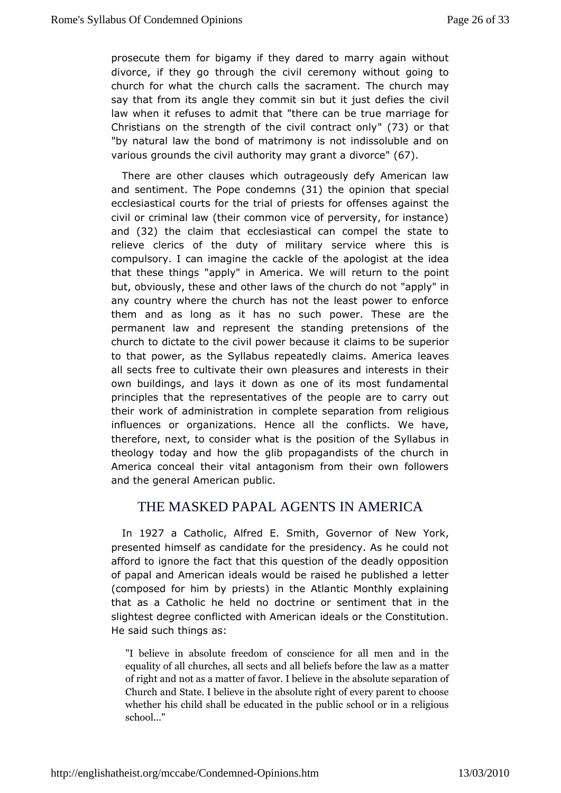prosecute them bigamy if they dared to marry again without divorce, if they go throadigy hil the eremony without going to church for what the church calls the  $\epsilon$ hangement may say that from its angle they commit sin but it ivilist defies the law when it refuses to admit that "there can be true marriag Christians on the strength of the civil  $\overline{(c\mathbf{3})}$  not ratchtatonly "by naturlaw the bond of matrimony is not indissoluble and o various grounds the unthimatity may grant a d6  $\vec{v}$  orce

There are other clause osu two biocehously defy American law and sentimeThte Pope condet 3min she opinit that special ecclesiastical courts for the trial of priests ftchreoffenses aga civil or criminal law (their common vice of perversity, for ins and( $32$ ) the claim that ecclesiastical can compel the state relieve clericsheofduty of military service where this is compulsory. I can imagine to the the cape of logist at the idea that these things "apply" in Amerie bur Meowtihle point but, obviously, these and other laws of the pophly rch do not any country where the church has not the least power to enfor themand as long as it has no such power. These are the permanent law and reptheeses mitanding pretensions of the church to dictate to the civil powelrabres at us beits uperior to that power, as the Syllabus repeatedly leavimes. America all sects free to cultivate their own pleasures and interests i own buildings, and lays it down as one of its most fundame principles that representatives of the people are to carry ou their work of administratiomplete separation from religious influences or organizations. Herconflachtsthe ve have, therefore, next, to consider what is the Spyd baibios ionf the theology today and how the glib propagandists of the churc America conceal their vital antagonism from their own follo and the gen**Amad**rican public.

## THE MASKED PAPAL AGENTS INAMERICA

In 1927a CatholAdfred, Emith Governor of New, York presented himself as candidate for the presidency. As he cou afford ionore the fact that this question of the deadly opposition of papal aAnnderican ideals would be raised he published a lett (composed for him ribsts) in the Atlantic Monthly explaining that as a Catholic he cheet drime or sentiment that in the slightest degree conflicted witde& mse pirc ame Constitution. He said such things as:

"I belieweabsolute freedom of conscience for all men and equality  $\sigma$ huard thes, all sects and all beliefs before the law a of right manddas a matter of favor. I believe in the absolute separation of  $\mathbf{r}$ Church Sinad te. I believe in the absolute right of every parent whether child shall be educated in the public school or in  $\epsilon$ school..."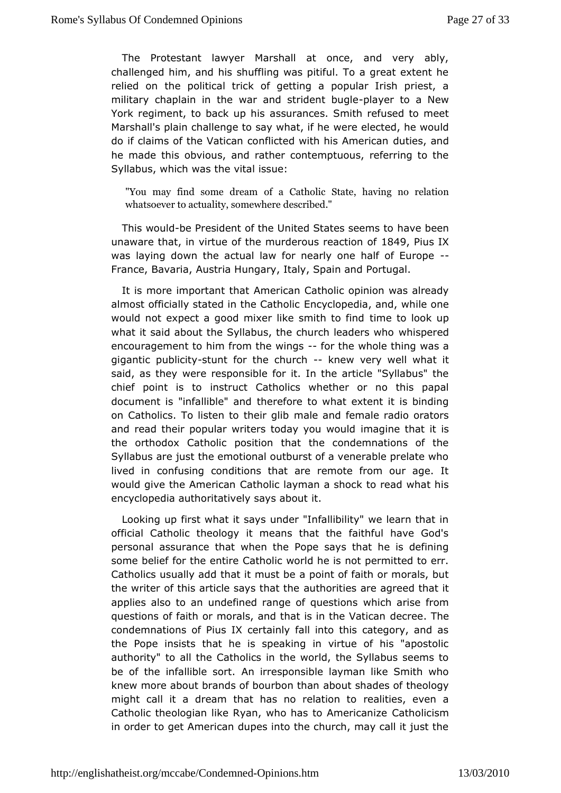The Protestant lawyer Marshall at once, and very ab challenged him, and his shuffling was pitiful. To a great extent relied othe political trick of getting a popular Irish priest, military chaplaiheinwar and strident bloaw oelre to a New York regiment, to backasuspurhains ces. Smith refused to meet Marshall's plain challenge to sawyeweheetl, e cift ehde, he would do if claims of the Vatican conflicted width times, Aamerican he made this obvious, and rather contemptuous, referring to Syllabus, which was the vital issue:

"You may find someef dare 6 antholic State, having no relation whatsoever to actuality,  $e$  som be  $\ddot{e}$  and  $\ddot{e}$  re

This woulded President of the United Stathessv selemento unaware thiant virtue of the murderous reactom sof X waslaying down the actual law for nearly one-half of  $E$ urope France, Bavaniatria Hungary, Italy, Spain and Portugal.

It is more importan<sup>t</sup> muthemation Catholic opinion was already almost officially stated in the cosato peictia, and, while one would not expect a good mixer like simmietht aold onkdup what it said about the Syllabus, the chumchis be deeds who encouragement to him from theowithes whole thing was a gigantic pub-situmy for the churkomew very well what it said, as thweeve responsible for it. In the article "Syllabus"  $t$ chief point is nsoruct Catholics whether or no this papal document is "infallibtle erandre to what extent it is binding on Catholics. To listen tomtale irand bibremale radio orators and read their popular writers todaymay opiune wollow and it is the orthodox Catholic position that the condemnations of Syllabus are just the emotional outburst of a venerable prelat lived imonfusing conditions that are remote from our age. would give the Ameaitchanic layman a shock to read what his encyclopedia authoritatively is ays about

Looking up first what it says under "Infallibility" we learn t official Catholic theology it means that the faithful have personalssurance that when the Pope says that he is defini some belief for the Catholic diction of the is not permitted to err. Catholics usually add that at prount to be faith or morals, but the writer of this article sagesth to attides are agreed that it applies also to an undefined range woh fic question from questions of faith or morals, and that is earthee Thatican condemnations of Pius IX certainly fall into this category, a the Pope insists that he is speaking in virtue of his "apo authority" allo the Catholics in the world, the Syllabus seems be of the infallibl**a**ns orthesponsible layman like Smith who knew more about brands of boundboount shanger of theology might call it a dream that has no rerelations, teoven a Catholic theologian like Ryan, who has Clathom ecistanize in order to get American dupes into the church, may call it ju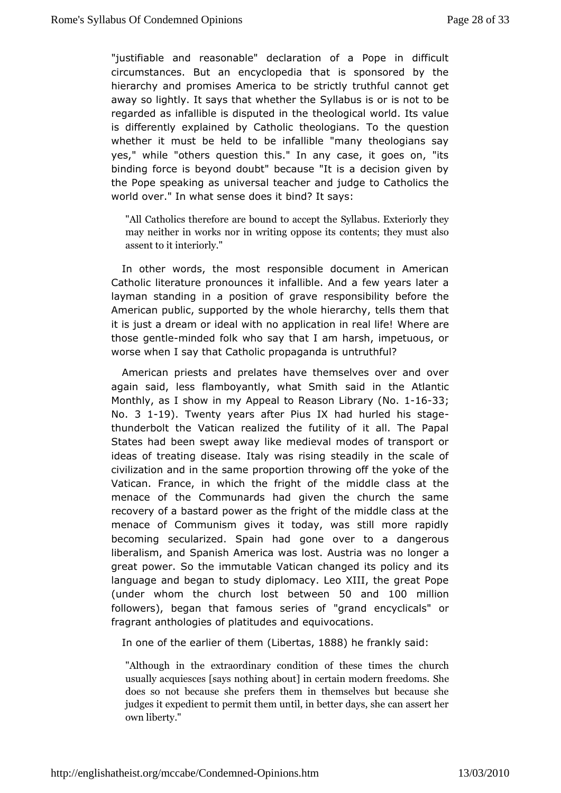"justifiable and reasonable" declaration of a Pope in dif circumstanc**Bs**t an encyclopedia that is sponsored by the hierarchy and promises Amerisctaid bly truthful cannot get away so lightly. It says that wShyelthe best he or is not to be regarded as infallible is disputed biomictal eworld. Its value is differently explained by CatholicT othe hodoguaens dion whether it must be held to be infallible "many theologians yes," while "others question this." In any case, it goes on binding forscebeyond doubt" because "It is a decision given b the Pope speakingivas rsal teacher and judge to Catholics the world over." In what sensbeinddo? e \$ti\$ays:

"All Catholics therefore are bo $\mathcal S$ uvuld to bace  $\mathcal S$  and  $\mathcal S$  they may neither in works nor in wcidintignosp; polsey it maust also assent to it interiorly."

In othewords, the most responsible document in American Catholic literature prointoiun faelsible. And a few years later a layman standing in a positiomess pograibelity before the American public, supported by the whole leish the earn cothya, t it is just a dream or ideal with no applic white meinarree al life! those genmliended folk who say that I am harsh, impetuous, or worsewhen I say that Catholic propaganda is untruthful?

American priestspræmidates have themselves over and over again said, less flamboyantly, wshiad Somitthe Atlantic Monthly, as I show in my Appeal to Reas 6-n 61.38; rary (No. No. 3 1-19). Twenty years after Pius IX had hurled his stage thunderbolt the Vatican realized the futility of it all. The States haden swept away like medieval modes of transport o ideas of treating disaalays ewas rising steadily in the scale of civilization and in the sopportion throwing off the yoke of the Vatican. France, in which the heright dold class at the menace of the Communards had given the church the sar recovery of a bastard power as the fright of the middle class menace  $\mathfrak C$  fommunism gives it today, was still more rapidly becoming secularized. Spgomehader to a dangerous liberalism, and Spanish America was loso. I auguria awas great power. So the immutable Vatican changed its policy ar language and began to study diplomacy. Leo XIII, the great (under whom tchheurch lost betw6oemand100 million followers), began that famous "grearineds eonfoyclicals" or fragrant anthologies of plate quud  $\boldsymbol{e}$  ecantidons.

In one of the earlier (duibten et mats 888 he frankslayid:

"Although in the extraordinary condittibe of utbese times usually acquiesces [says nothing about] in Sebetain modern does so not because she prefers them in themselves but judgets expedient to permit them until, in better days, she can ownliberty."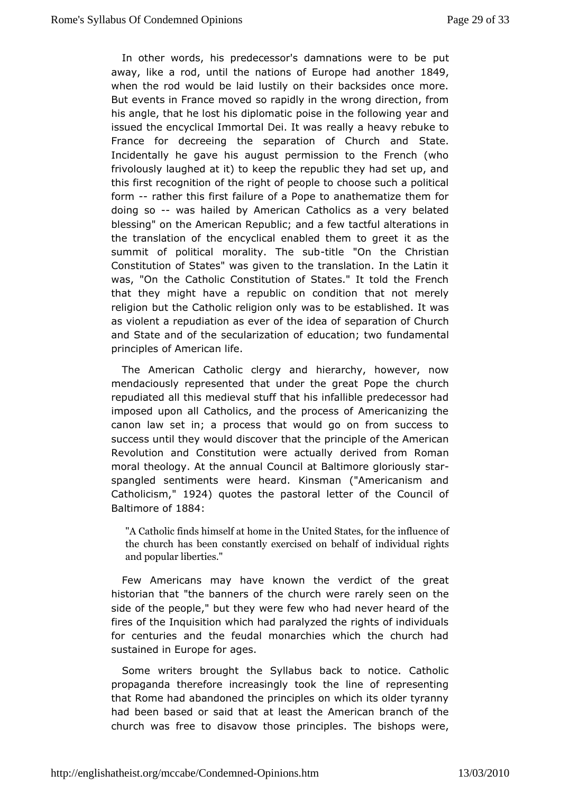In other words, his predecessor's damnationus were to be awaylike a roughtil the nations of Europe had 4a nother when the rwoluld be laid lustily on their backsides once more But events in Frances move didly in the wrong direction, from his angle, that he lost his poldipolominatible following year and issued the encyclical ImmortalrDælily la was vy rebuke to France for decreeing the separation of SCaltuerch and Incidentally he gave his august permission to the French  $\overline{a}$ frivolous aw qhed at it) to keep the republic they had set up, a this first recogonfitibe right of people to choose such a political form--rather this faristure of a Pope to anathematize them for doing so-was hailed by AmeCratholics as a very belated blessing" on the American Republiactanud and feerwations in the translation of the encyclical enableditt has mitted greet summit of political morality-titlibe "Ounb the Christian Constitution of States" was given to the translation. In the L was. "Othe Catholic Constitution of States." It told the Fren that they might hare epudolic on condition that not merely religion but the Catholic rewiagsiotro dorely established. It was as violent a repudiation as ever sepheatdem off Church and State and of the secularization of feudnudcamentaltwo principles of American life.

The American Catholic clerigeyramethy, however, now mendaciously represented that under the **chauthPope** the repudiated all this medieval stuff that his infallible predecess imposed upon all Catholics, and the process of Americanizin canon law smet a process that would go on from success to success until they would the discure principle of the American Revolution and Constitution wederiavet dailyom Roman moral theology. At the annual Council at Balstian ore gloriously spangled sentiments were heard. Kinsman ("Americanism and Catholicism924 quotes the pastoral letter of the Council of Baltimore 1884

"A Catholic finds himself at home forthhee Uimiftleude nScteatcefs, the church has been constantly exemdisredduabln rbgehhtaslf of and popular liberties."

Few Americans may khaw wen the verdict of the great historian that "the banners of the rahely as ever the reserved in the side of the people," but they were few who had never heard c fires of the Inquisition which had paralyzed the rights of indiforcenturies and the feudal monarchies which the church  $\mathsf h$ sustained in Euroapope for

Some writers brought the Syllabus back to notice. Cath propaganda therefore increasingly took the line of represe that Rome had and oned the principles on which its older tyrann had been based or sæid lehasst the American branch of the church was free to disavow those  $\Gamma$  hperimb  $\dot{\mathbf{w}}$  be possimated.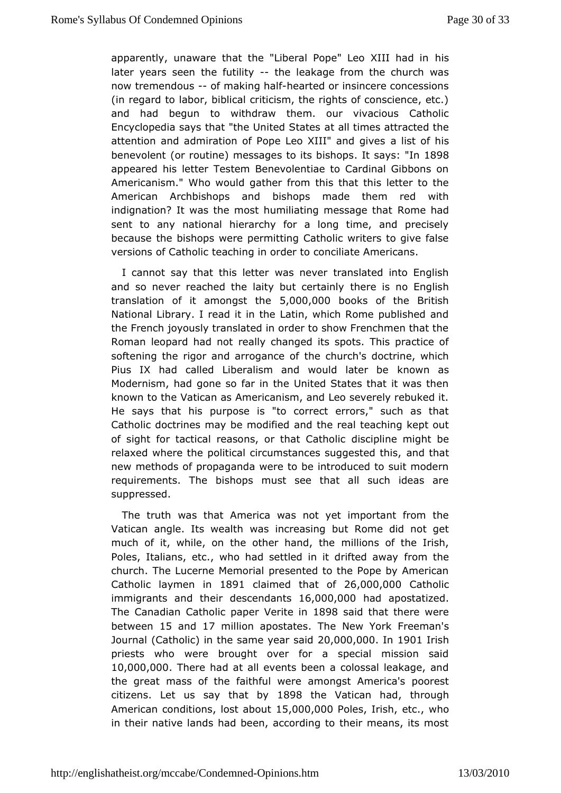apparently, unaware that the "Liberal Pope" hiso XIII had in later years seen the-futhiditheakage from the church was nowtremendou-sof making thaelairted or insincere concessions  $(i)$  regard  $d$  to  $r$ , biblical criticism, the rights of conscience, etc. and had begun withdraw them. our vivacious Catholic Encyclopedia says that "the Unaittead Stanteess attracted the attention and admiration of Pope Leo Xalli''s and hises benevole(not routi) meessages to its bilsthe possing 1898 appeared his letter Testem Benevolentiae to Cardinal Gibbon Americanism." Who would gather from this that this letter to the American Archbishopsbishomolps made them red with indignation? It was the most humiliating Romessage that sent to any national hierarchy for a long time, and preci becaustehe bishops were permitting Catholic writers to give fa versions of Catholic teaching in order to conciliate Americans.

I cannot say that this walse the erver translated into English and so never reached the laity but the rose rits ain by English translation of it amon $\Phi$ s $0.00$ h $\Phi$  $0.00$ ooks of the British National Library. I read it in the Latin, which Rome publishe the Frenjoohy ously translated in order to show Frenchmen that t Roman leopard hard ealdy changed its spots. This practice of softening the rigor and arrologeancologie of the contrine, which Pius IX had called Liberalism and wo kund whatas be Modernism, had gone so far in the United States that it was knowno the Vatican as Americanism, and Leo severely rebuked He says that phuirspose is "to correct errors," such as that Catholic doctrines may beamod diffeed eal teaching kept out of sight for tactical reasons, or dhisadipOlant bomicght be relaxed where the political circumstances and gthe atted this, new methods of propaganda were to be introduced to suit mo requirements. The bishops must see that all such ideas suppressed.

Thetruth was that America was not yet important from th Vatican angle. Its waaltimcreasing but Rome did not get much of it, while, on the othermhalmodnsthoof the Irish, Poles, Italians, etc., who had settled infribmdrifiteed away church. The Lucerne Memorial presented to the Pope by Ame  $C$ atholi $\alpha$ ymen in $891$  claimed that  $2\,\omega$ ,  $60\,0\,0$ ,  $000$  atholic immigrants and thessiorendantiss, 000,000 ad apostatized The Canadian Catholic papen 8\9 & siated in hat there were betwee t5 and 17 million apostathes New Yourkeman's Journa(Catho) ion the same year Os,aOi @d0,0.01 on 1901 Irish priests who were brought over for a special mission s 10,000,000 . There had all events been a colossal leakage, and the great mass of the faithafmolongsteAmerica's poorest citizen  $\pm$  et us say that 18b9 $\beta$  the Vatican, had ough American conditions abouts, 000,000 lest is, hetc., who intheir native lands had been, according to their means, its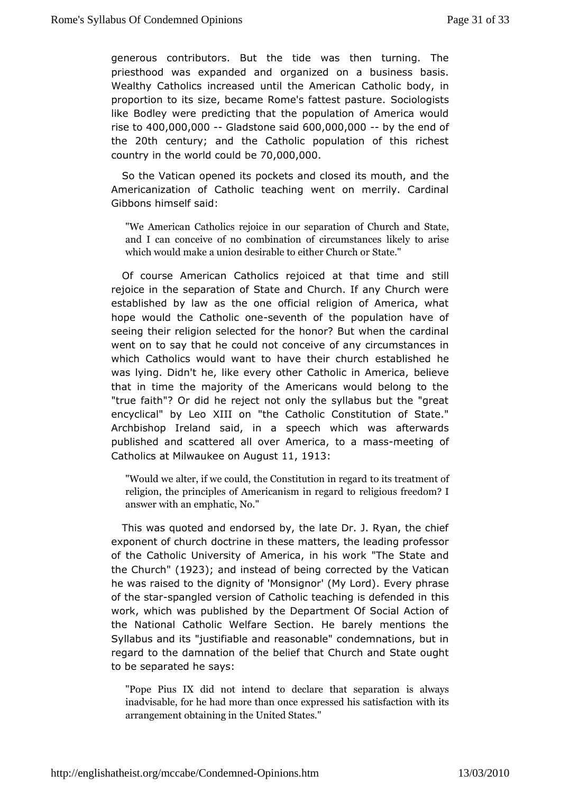generouscontributors. But the tide was then turning. The priesthood was expand edgamid ed on a business basis. Wealthy Catholics increased until ChaethAomhieribcoachy, in proportion to its size, became Rome's fSadteistomassttsure. like Bodley were predicting that the population of America y rise  $t4000,000,0000$  adstone  $\sin(00,000,000)$  the end of the 20th century; and the Catholic population of this richest  $\frac{1}{2}$  country in the worldbec $\frac{70}{2}$ ,000,000,000

So the Vatican opened its pockets and closedeits mouth, an Americanization of Catholic teaching went on merrily. Car Gibbonhsimself said:

"We American Catholics rejoice on Columeto analisonate, and I can conceive of no combination  $k$  dircamise ances which would make a union desirableStateither Church or

Of course American Catholics rejoiced at sthildt time and rejoice in the separation of State and Church. If any Church established by law as the one official religion of America, hope would Chatholic ssnewenth of the population have of seeing their religion foorlet the chonor? But when the cardinal went on to say that he could not any cell wo mstances in which Catholics would want to have etshtealbrlins hhere che was lying. Didn't he, like every other Cathoellic in America, that in time the majority of the Americans would belong to "truefaith"? Or did he reject not only the syllabus but the "g encyclical" by XLIdoon "the Catholic Constitution of State." Archbishop Ireland saidspeech which was afterwards published and scattered all over Ammaesremana, ettionga of Catholics at Milwaukee onn,  $A \theta \phi B$ st

"Would we alter, if we could, the Ctoon stts tuntecantmicenterented religion, the principles of Americraenliginous freegeachodmt?ol answer with an emphatic, No."

This was uoted and endorsed by, the late Dr. J. Ryan, the ch exponent of chau currine in these matters, the leading professor of the Catholic UniveArsniety icoaf, in his work "The State and the Church  $92\$ ; and instead of being cted by the Vatican he was raised to the dignity of 'Monsig Envery (My threased). of the s-tsaprangled version of Catholic teaching this defended in work, which was published by the Department Of Social Action the National Catholic Welfare Section. He barely mentions Syllabus and juts tifiable and reasonable" condemnations, but i regard to the damnathenbeflief that Church and State ought to be separatesdayhse:

"Pope Pius IX did not intend to declasrealtwhat sseparation inadvisable, for he had more than once ewptrhesissed his satis arrangement obtaining in the United States."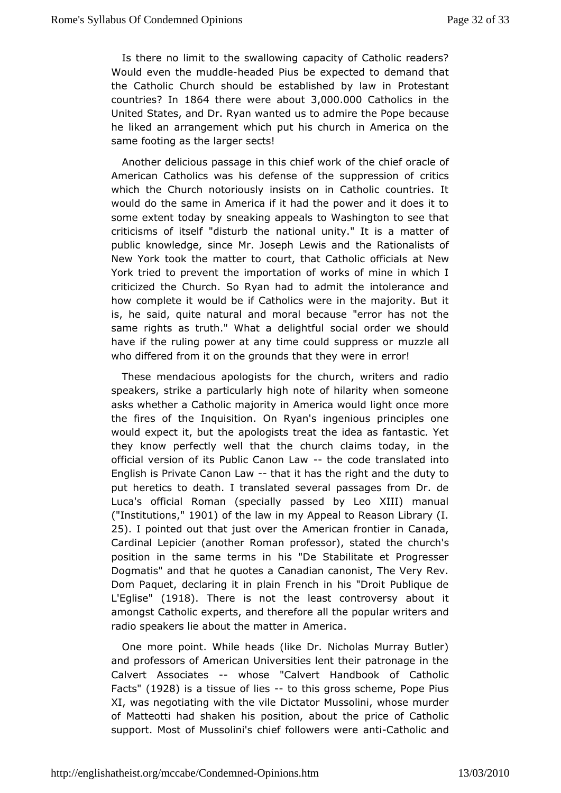Is there himit to the swallowing capacity of Catholic reader Would even mhueddlaeaded Pius be expected to demand that the Catholic Church shosul ablished by law in Protestant countri<sup>g</sup> bn 1864 there were about 0,000 atholics in the United States, and Dr. Ryan wanted us to admatusethe Pope he liked an arrangement which put his church in America on samefooting as the larger sects!

Another delicious passage in this the the the of koracle of American Catholics was his defense of the critics are suppression of which the Church notoriously insists on in Catholic countri woulddo the same in America if it had the power and it does i some extent toboya pneaking appeals to Washington to see that criticisms of itself "distautribontalle unity." It is a matter of public knowledge, since Mr. Josepthe Le Ruaits oa a dists of New York took the matter to court, that Cantth Note in officials York tried to prevent the importation of works of mine in wh criticized the Church. So Ryan had to admit the intolerance how completwould be if Catholics were in the majority. But i is, he said, quite **aaturabral** because "error has not the same rights as truth." What asdelaghofrodler we should have if the ruling power at any time counholizszule paelss or who differed from it on the grounds thæt thomely were in

These mendacious apologists for the church, writers and r speakers, strike a particularly high note of hilarity when sor asks whethe Catholic majority in America would light once mor the fires of Inhopuisition. On Ryan's ingenious principles one would expect it, bap ot houghists treat the idea as fantastic. Yet they know perfectly well that chacked aims today, in the official version of its Public-Ctahneon obtae wan slated into English is Private Canon halt aiw has the right dauntdy those put heretics to death. I translated several passages from D Luca'sofficial Roman (specially passed by Leo XIII) manu ("Institutions O) of the law in my Appeal to Reason Library (I. 25). I pointed out that just Ameeritchæn frontier in Canada, Cardinal Lepicier (another Roman proftehses ocrh) urschased position in the same terms in his "De Stabilitate et Progre Dogmatis" and that he quotes a Canadian canonist, The Very Dom Paquete, claring it in plain French in his "Droit Publique L'Eglise (1918. Thereis not the least controversy about it amongst Catholic experts, and Ithtehree foor peular writers and radio speakers lie about the meantiteer. in

One more point. While heads (like Dr. Nicholas Murray Bu andprofessors of American Universities lent their patronage i CalverAssociates whose "Calvert Handbook of Catholic Fact's (1928 is a tissu diest-to this gross scheme, Pope Pius XI, was negotiating with Dibtatoire Mussolini, whose murder of Matteotti had shaken his positiopnricæbooutCtahteholic support. Most of Mussolini's chief faont-Covaethsolicce aand